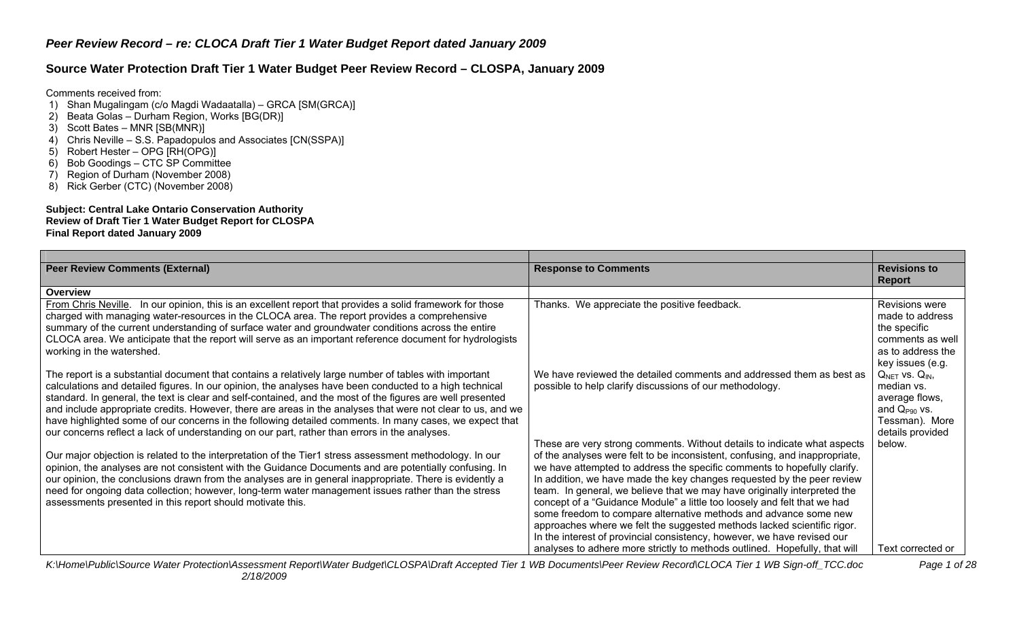# **Source Water Protection Draft Tier 1 Water Budget Peer Review Record – CLOSPA, January 2009**

Comments received from:

- 1) Shan Mugalingam (c/o Magdi Wadaatalla) GRCA [SM(GRCA)]
- 2) Beata Golas Durham Region, Works [BG(DR)]
- 3) Scott Bates MNR [SB(MNR)]
- 4) Chris Neville S.S. Papadopulos and Associates [CN(SSPA)]
- $5)$  Robert Hester OPG  $\overline{R}$ H(OPG)]
- 6) Bob Goodings CTC SP Committee
- 7) Region of Durham (November 2008)
- 8) Rick Gerber (CTC) (November 2008)

#### **Subject: Central Lake Ontario Conservation Authority Review of Draft Tier 1 Water Budget Report for CLOSPA Final Report dated January 2009**

| <b>Peer Review Comments (External)</b>                                                                      | <b>Response to Comments</b>                                                 | <b>Revisions to</b>      |
|-------------------------------------------------------------------------------------------------------------|-----------------------------------------------------------------------------|--------------------------|
|                                                                                                             |                                                                             | Report                   |
| Overview                                                                                                    |                                                                             |                          |
| From Chris Neville. In our opinion, this is an excellent report that provides a solid framework for those   | Thanks. We appreciate the positive feedback.                                | Revisions were           |
| charged with managing water-resources in the CLOCA area. The report provides a comprehensive                |                                                                             | made to address          |
| summary of the current understanding of surface water and groundwater conditions across the entire          |                                                                             | the specific             |
| CLOCA area. We anticipate that the report will serve as an important reference document for hydrologists    |                                                                             | comments as well         |
| working in the watershed.                                                                                   |                                                                             | as to address the        |
|                                                                                                             |                                                                             | key issues (e.g.         |
| The report is a substantial document that contains a relatively large number of tables with important       | We have reviewed the detailed comments and addressed them as best as        | $Q_{NET}$ vs. $Q_{IN}$ , |
| calculations and detailed figures. In our opinion, the analyses have been conducted to a high technical     | possible to help clarify discussions of our methodology.                    | median vs.               |
| standard. In general, the text is clear and self-contained, and the most of the figures are well presented  |                                                                             | average flows,           |
| and include appropriate credits. However, there are areas in the analyses that were not clear to us, and we |                                                                             | and $Q_{P90}$ vs.        |
| have highlighted some of our concerns in the following detailed comments. In many cases, we expect that     |                                                                             | Tessman). More           |
| our concerns reflect a lack of understanding on our part, rather than errors in the analyses.               |                                                                             | details provided         |
|                                                                                                             | These are very strong comments. Without details to indicate what aspects    | below.                   |
| Our major objection is related to the interpretation of the Tier1 stress assessment methodology. In our     | of the analyses were felt to be inconsistent, confusing, and inappropriate, |                          |
| opinion, the analyses are not consistent with the Guidance Documents and are potentially confusing. In      | we have attempted to address the specific comments to hopefully clarify.    |                          |
| our opinion, the conclusions drawn from the analyses are in general inappropriate. There is evidently a     | In addition, we have made the key changes requested by the peer review      |                          |
| need for ongoing data collection; however, long-term water management issues rather than the stress         | team. In general, we believe that we may have originally interpreted the    |                          |
| assessments presented in this report should motivate this.                                                  | concept of a "Guidance Module" a little too loosely and felt that we had    |                          |
|                                                                                                             | some freedom to compare alternative methods and advance some new            |                          |
|                                                                                                             | approaches where we felt the suggested methods lacked scientific rigor.     |                          |
|                                                                                                             | In the interest of provincial consistency, however, we have revised our     |                          |
|                                                                                                             | analyses to adhere more strictly to methods outlined. Hopefully, that will  | Text corrected or        |

*K:\Home\Public\Source Water Protection\Assessment Report\Water Budget\CLOSPA\Draft Accepted Tier 1 WB Documents\Peer Review Record\CLOCA Tier 1 WB Sign-off\_TCC.doc Page 1 of 28 2/18/2009*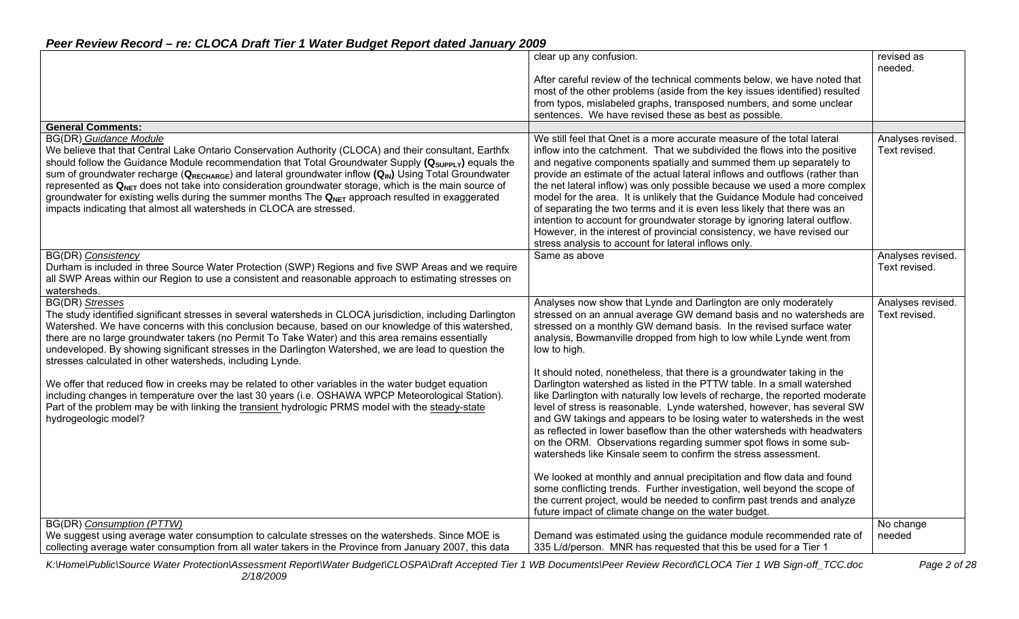| Peer Review Record - re: CLOCA Draft Tier 1 Water Budget Report dated January 2009 |  |
|------------------------------------------------------------------------------------|--|
|------------------------------------------------------------------------------------|--|

|                                                                                                                                                                                                                                                                                                                                                                                                                                                                                                                                                                                                                                                                                               | clear up any confusion.                                                                                                                                                                                                                                                                                                                                                                                                                                                                                                                                                                                                                                                                                                                                        | revised as<br>needed.              |
|-----------------------------------------------------------------------------------------------------------------------------------------------------------------------------------------------------------------------------------------------------------------------------------------------------------------------------------------------------------------------------------------------------------------------------------------------------------------------------------------------------------------------------------------------------------------------------------------------------------------------------------------------------------------------------------------------|----------------------------------------------------------------------------------------------------------------------------------------------------------------------------------------------------------------------------------------------------------------------------------------------------------------------------------------------------------------------------------------------------------------------------------------------------------------------------------------------------------------------------------------------------------------------------------------------------------------------------------------------------------------------------------------------------------------------------------------------------------------|------------------------------------|
|                                                                                                                                                                                                                                                                                                                                                                                                                                                                                                                                                                                                                                                                                               | After careful review of the technical comments below, we have noted that<br>most of the other problems (aside from the key issues identified) resulted<br>from typos, mislabeled graphs, transposed numbers, and some unclear<br>sentences. We have revised these as best as possible.                                                                                                                                                                                                                                                                                                                                                                                                                                                                         |                                    |
| <b>General Comments:</b>                                                                                                                                                                                                                                                                                                                                                                                                                                                                                                                                                                                                                                                                      |                                                                                                                                                                                                                                                                                                                                                                                                                                                                                                                                                                                                                                                                                                                                                                |                                    |
| <b>BG(DR)</b> Guidance Module<br>We believe that that Central Lake Ontario Conservation Authority (CLOCA) and their consultant, Earthfx<br>should follow the Guidance Module recommendation that Total Groundwater Supply $(Q_{\text{Supp} \downarrow \gamma})$ equals the<br>sum of groundwater recharge ( $Q_{RECHARGE}$ ) and lateral groundwater inflow $(Q_{N})$ Using Total Groundwater<br>represented as $Q_{NET}$ does not take into consideration groundwater storage, which is the main source of<br>groundwater for existing wells during the summer months The $Q_{NET}$ approach resulted in exaggerated<br>impacts indicating that almost all watersheds in CLOCA are stressed. | We still feel that Qnet is a more accurate measure of the total lateral<br>inflow into the catchment. That we subdivided the flows into the positive<br>and negative components spatially and summed them up separately to<br>provide an estimate of the actual lateral inflows and outflows (rather than<br>the net lateral inflow) was only possible because we used a more complex<br>model for the area. It is unlikely that the Guidance Module had conceived<br>of separating the two terms and it is even less likely that there was an<br>intention to account for groundwater storage by ignoring lateral outflow.<br>However, in the interest of provincial consistency, we have revised our<br>stress analysis to account for lateral inflows only. | Analyses revised.<br>Text revised. |
| BG(DR) Consistency<br>Durham is included in three Source Water Protection (SWP) Regions and five SWP Areas and we require<br>all SWP Areas within our Region to use a consistent and reasonable approach to estimating stresses on<br>watersheds.                                                                                                                                                                                                                                                                                                                                                                                                                                             | Same as above                                                                                                                                                                                                                                                                                                                                                                                                                                                                                                                                                                                                                                                                                                                                                  | Analyses revised.<br>Text revised. |
| <b>BG(DR)</b> Stresses<br>The study identified significant stresses in several watersheds in CLOCA jurisdiction, including Darlington<br>Watershed. We have concerns with this conclusion because, based on our knowledge of this watershed,<br>there are no large groundwater takers (no Permit To Take Water) and this area remains essentially<br>undeveloped. By showing significant stresses in the Darlington Watershed, we are lead to question the<br>stresses calculated in other watersheds, including Lynde.                                                                                                                                                                       | Analyses now show that Lynde and Darlington are only moderately<br>stressed on an annual average GW demand basis and no watersheds are<br>stressed on a monthly GW demand basis. In the revised surface water<br>analysis, Bowmanville dropped from high to low while Lynde went from<br>low to high.                                                                                                                                                                                                                                                                                                                                                                                                                                                          | Analyses revised.<br>Text revised. |
| We offer that reduced flow in creeks may be related to other variables in the water budget equation<br>including changes in temperature over the last 30 years (i.e. OSHAWA WPCP Meteorological Station).<br>Part of the problem may be with linking the transient hydrologic PRMS model with the steady-state<br>hydrogeologic model?                                                                                                                                                                                                                                                                                                                                                        | It should noted, nonetheless, that there is a groundwater taking in the<br>Darlington watershed as listed in the PTTW table. In a small watershed<br>like Darlington with naturally low levels of recharge, the reported moderate<br>level of stress is reasonable. Lynde watershed, however, has several SW<br>and GW takings and appears to be losing water to watersheds in the west<br>as reflected in lower baseflow than the other watersheds with headwaters<br>on the ORM. Observations regarding summer spot flows in some sub-<br>watersheds like Kinsale seem to confirm the stress assessment.                                                                                                                                                     |                                    |
|                                                                                                                                                                                                                                                                                                                                                                                                                                                                                                                                                                                                                                                                                               | We looked at monthly and annual precipitation and flow data and found<br>some conflicting trends. Further investigation, well beyond the scope of<br>the current project, would be needed to confirm past trends and analyze<br>future impact of climate change on the water budget.                                                                                                                                                                                                                                                                                                                                                                                                                                                                           |                                    |
| BG(DR) Consumption (PTTW)<br>We suggest using average water consumption to calculate stresses on the watersheds. Since MOE is<br>collecting average water consumption from all water takers in the Province from January 2007, this data                                                                                                                                                                                                                                                                                                                                                                                                                                                      | Demand was estimated using the guidance module recommended rate of<br>335 L/d/person. MNR has requested that this be used for a Tier 1                                                                                                                                                                                                                                                                                                                                                                                                                                                                                                                                                                                                                         | No change<br>needed                |

*K:\Home\Public\Source Water Protection\Assessment Report\Water Budget\CLOSPA\Draft Accepted Tier 1 WB Documents\Peer Review Record\CLOCA Tier 1 WB Sign-off\_TCC.doc Page 2 of 28 2/18/2009*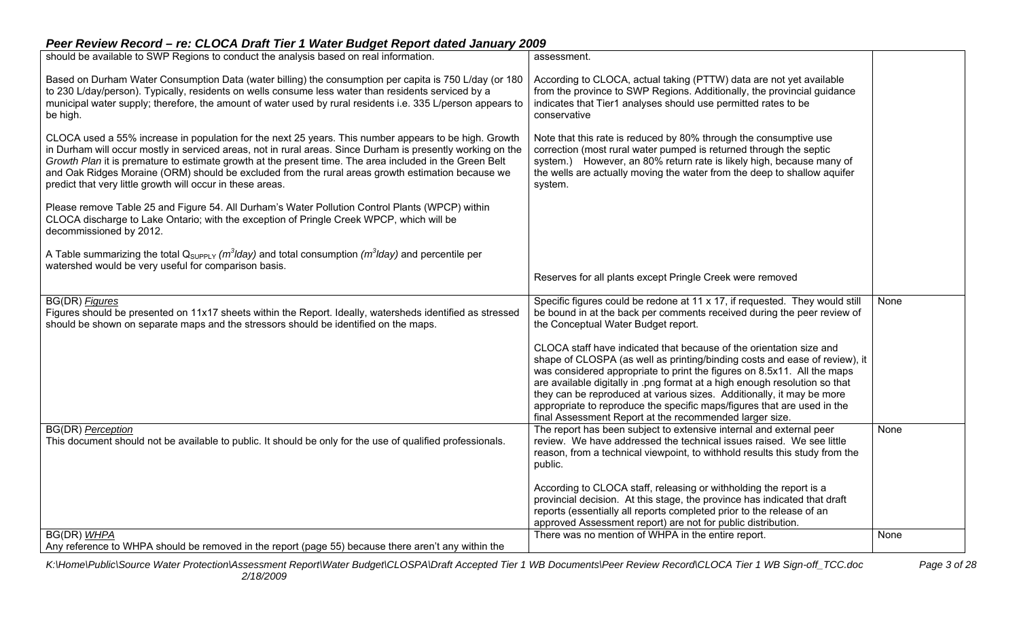| Based on Durham Water Consumption Data (water billing) the consumption per capita is 750 L/day (or 180<br>According to CLOCA, actual taking (PTTW) data are not yet available<br>from the province to SWP Regions. Additionally, the provincial guidance<br>to 230 L/day/person). Typically, residents on wells consume less water than residents serviced by a<br>municipal water supply; therefore, the amount of water used by rural residents i.e. 335 L/person appears to<br>indicates that Tier1 analyses should use permitted rates to be<br>conservative<br>be high.<br>CLOCA used a 55% increase in population for the next 25 years. This number appears to be high. Growth<br>Note that this rate is reduced by 80% through the consumptive use<br>in Durham will occur mostly in serviced areas, not in rural areas. Since Durham is presently working on the<br>correction (most rural water pumped is returned through the septic<br>Growth Plan it is premature to estimate growth at the present time. The area included in the Green Belt<br>system.) However, an 80% return rate is likely high, because many of<br>and Oak Ridges Moraine (ORM) should be excluded from the rural areas growth estimation because we<br>the wells are actually moving the water from the deep to shallow aquifer<br>predict that very little growth will occur in these areas.<br>system.<br>Please remove Table 25 and Figure 54. All Durham's Water Pollution Control Plants (WPCP) within<br>CLOCA discharge to Lake Ontario; with the exception of Pringle Creek WPCP, which will be<br>decommissioned by 2012.<br>A Table summarizing the total $Q_{SUPPLY}$ ( $m^3$ lday) and total consumption ( $m^3$ lday) and percentile per<br>watershed would be very useful for comparison basis.<br>Reserves for all plants except Pringle Creek were removed<br><b>BG(DR)</b> Figures<br>Specific figures could be redone at 11 x 17, if requested. They would still<br>None<br>Figures should be presented on 11x17 sheets within the Report. Ideally, watersheds identified as stressed<br>be bound in at the back per comments received during the peer review of<br>should be shown on separate maps and the stressors should be identified on the maps.<br>the Conceptual Water Budget report.<br>CLOCA staff have indicated that because of the orientation size and<br>shape of CLOSPA (as well as printing/binding costs and ease of review), it<br>was considered appropriate to print the figures on 8.5x11. All the maps<br>are available digitally in .png format at a high enough resolution so that<br>they can be reproduced at various sizes. Additionally, it may be more<br>appropriate to reproduce the specific maps/figures that are used in the<br>final Assessment Report at the recommended larger size.<br><b>BG(DR)</b> Perception<br>The report has been subject to extensive internal and external peer<br>None<br>This document should not be available to public. It should be only for the use of qualified professionals.<br>review. We have addressed the technical issues raised. We see little<br>reason, from a technical viewpoint, to withhold results this study from the<br>public.<br>According to CLOCA staff, releasing or withholding the report is a<br>provincial decision. At this stage, the province has indicated that draft<br>reports (essentially all reports completed prior to the release of an<br>approved Assessment report) are not for public distribution. | should be available to SWP Regions to conduct the analysis based on real information. | assessment. |  |
|---------------------------------------------------------------------------------------------------------------------------------------------------------------------------------------------------------------------------------------------------------------------------------------------------------------------------------------------------------------------------------------------------------------------------------------------------------------------------------------------------------------------------------------------------------------------------------------------------------------------------------------------------------------------------------------------------------------------------------------------------------------------------------------------------------------------------------------------------------------------------------------------------------------------------------------------------------------------------------------------------------------------------------------------------------------------------------------------------------------------------------------------------------------------------------------------------------------------------------------------------------------------------------------------------------------------------------------------------------------------------------------------------------------------------------------------------------------------------------------------------------------------------------------------------------------------------------------------------------------------------------------------------------------------------------------------------------------------------------------------------------------------------------------------------------------------------------------------------------------------------------------------------------------------------------------------------------------------------------------------------------------------------------------------------------------------------------------------------------------------------------------------------------------------------------------------------------------------------------------------------------------------------------------------------------------------------------------------------------------------------------------------------------------------------------------------------------------------------------------------------------------------------------------------------------------------------------------------------------------------------------------------------------------------------------------------------------------------------------------------------------------------------------------------------------------------------------------------------------------------------------------------------------------------------------------------------------------------------------------------------------------------------------------------------------------------------------------------------------------------------------------------------------------------------------------------------------------------------------------------------------------------------------------------------------------------------------------------------------------------------------------------------------------------------------------------------------------------------------------------------------------------------|---------------------------------------------------------------------------------------|-------------|--|
|                                                                                                                                                                                                                                                                                                                                                                                                                                                                                                                                                                                                                                                                                                                                                                                                                                                                                                                                                                                                                                                                                                                                                                                                                                                                                                                                                                                                                                                                                                                                                                                                                                                                                                                                                                                                                                                                                                                                                                                                                                                                                                                                                                                                                                                                                                                                                                                                                                                                                                                                                                                                                                                                                                                                                                                                                                                                                                                                                                                                                                                                                                                                                                                                                                                                                                                                                                                                                                                                                                                           |                                                                                       |             |  |
|                                                                                                                                                                                                                                                                                                                                                                                                                                                                                                                                                                                                                                                                                                                                                                                                                                                                                                                                                                                                                                                                                                                                                                                                                                                                                                                                                                                                                                                                                                                                                                                                                                                                                                                                                                                                                                                                                                                                                                                                                                                                                                                                                                                                                                                                                                                                                                                                                                                                                                                                                                                                                                                                                                                                                                                                                                                                                                                                                                                                                                                                                                                                                                                                                                                                                                                                                                                                                                                                                                                           |                                                                                       |             |  |
|                                                                                                                                                                                                                                                                                                                                                                                                                                                                                                                                                                                                                                                                                                                                                                                                                                                                                                                                                                                                                                                                                                                                                                                                                                                                                                                                                                                                                                                                                                                                                                                                                                                                                                                                                                                                                                                                                                                                                                                                                                                                                                                                                                                                                                                                                                                                                                                                                                                                                                                                                                                                                                                                                                                                                                                                                                                                                                                                                                                                                                                                                                                                                                                                                                                                                                                                                                                                                                                                                                                           |                                                                                       |             |  |
|                                                                                                                                                                                                                                                                                                                                                                                                                                                                                                                                                                                                                                                                                                                                                                                                                                                                                                                                                                                                                                                                                                                                                                                                                                                                                                                                                                                                                                                                                                                                                                                                                                                                                                                                                                                                                                                                                                                                                                                                                                                                                                                                                                                                                                                                                                                                                                                                                                                                                                                                                                                                                                                                                                                                                                                                                                                                                                                                                                                                                                                                                                                                                                                                                                                                                                                                                                                                                                                                                                                           |                                                                                       |             |  |
|                                                                                                                                                                                                                                                                                                                                                                                                                                                                                                                                                                                                                                                                                                                                                                                                                                                                                                                                                                                                                                                                                                                                                                                                                                                                                                                                                                                                                                                                                                                                                                                                                                                                                                                                                                                                                                                                                                                                                                                                                                                                                                                                                                                                                                                                                                                                                                                                                                                                                                                                                                                                                                                                                                                                                                                                                                                                                                                                                                                                                                                                                                                                                                                                                                                                                                                                                                                                                                                                                                                           |                                                                                       |             |  |
|                                                                                                                                                                                                                                                                                                                                                                                                                                                                                                                                                                                                                                                                                                                                                                                                                                                                                                                                                                                                                                                                                                                                                                                                                                                                                                                                                                                                                                                                                                                                                                                                                                                                                                                                                                                                                                                                                                                                                                                                                                                                                                                                                                                                                                                                                                                                                                                                                                                                                                                                                                                                                                                                                                                                                                                                                                                                                                                                                                                                                                                                                                                                                                                                                                                                                                                                                                                                                                                                                                                           |                                                                                       |             |  |
|                                                                                                                                                                                                                                                                                                                                                                                                                                                                                                                                                                                                                                                                                                                                                                                                                                                                                                                                                                                                                                                                                                                                                                                                                                                                                                                                                                                                                                                                                                                                                                                                                                                                                                                                                                                                                                                                                                                                                                                                                                                                                                                                                                                                                                                                                                                                                                                                                                                                                                                                                                                                                                                                                                                                                                                                                                                                                                                                                                                                                                                                                                                                                                                                                                                                                                                                                                                                                                                                                                                           |                                                                                       |             |  |
|                                                                                                                                                                                                                                                                                                                                                                                                                                                                                                                                                                                                                                                                                                                                                                                                                                                                                                                                                                                                                                                                                                                                                                                                                                                                                                                                                                                                                                                                                                                                                                                                                                                                                                                                                                                                                                                                                                                                                                                                                                                                                                                                                                                                                                                                                                                                                                                                                                                                                                                                                                                                                                                                                                                                                                                                                                                                                                                                                                                                                                                                                                                                                                                                                                                                                                                                                                                                                                                                                                                           |                                                                                       |             |  |
| There was no mention of WHPA in the entire report.<br>BG(DR) WHPA<br>None<br>Any reference to WHPA should be removed in the report (page 55) because there aren't any within the                                                                                                                                                                                                                                                                                                                                                                                                                                                                                                                                                                                                                                                                                                                                                                                                                                                                                                                                                                                                                                                                                                                                                                                                                                                                                                                                                                                                                                                                                                                                                                                                                                                                                                                                                                                                                                                                                                                                                                                                                                                                                                                                                                                                                                                                                                                                                                                                                                                                                                                                                                                                                                                                                                                                                                                                                                                                                                                                                                                                                                                                                                                                                                                                                                                                                                                                          |                                                                                       |             |  |

*K:\Home\Public\Source Water Protection\Assessment Report\Water Budget\CLOSPA\Draft Accepted Tier 1 WB Documents\Peer Review Record\CLOCA Tier 1 WB Sign-off\_TCC.doc Page 3 of 28 2/18/2009*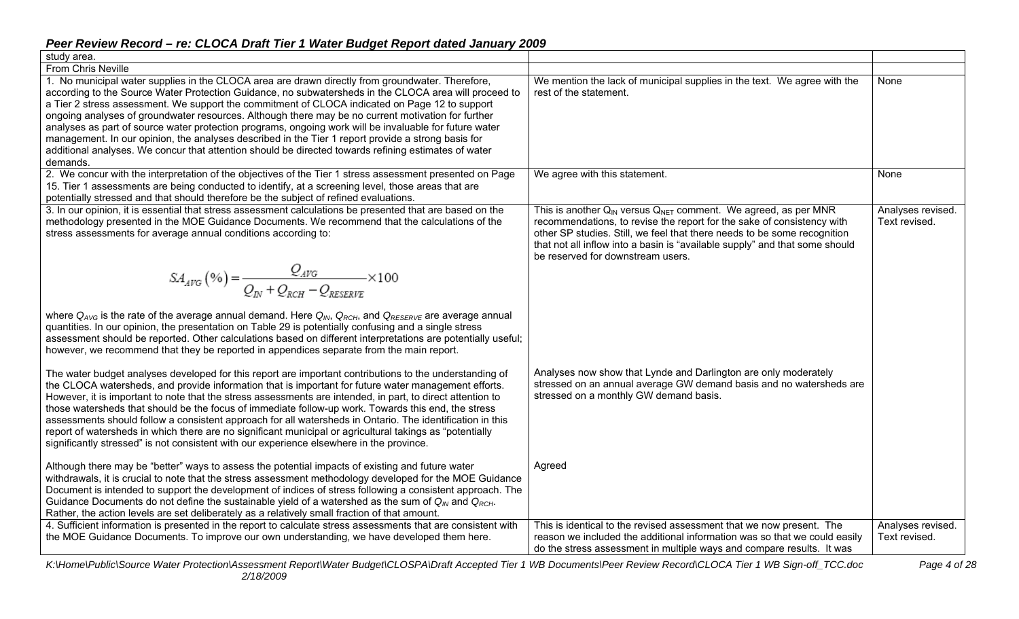| study area.                                                                                                                                                                                                                                                                                                                                                                                                                                                                                                                                                                                                                                                                                                                                               |                                                                                                                                                                                                                                                                                                                                                    |                                    |
|-----------------------------------------------------------------------------------------------------------------------------------------------------------------------------------------------------------------------------------------------------------------------------------------------------------------------------------------------------------------------------------------------------------------------------------------------------------------------------------------------------------------------------------------------------------------------------------------------------------------------------------------------------------------------------------------------------------------------------------------------------------|----------------------------------------------------------------------------------------------------------------------------------------------------------------------------------------------------------------------------------------------------------------------------------------------------------------------------------------------------|------------------------------------|
| <b>From Chris Neville</b>                                                                                                                                                                                                                                                                                                                                                                                                                                                                                                                                                                                                                                                                                                                                 |                                                                                                                                                                                                                                                                                                                                                    |                                    |
| 1. No municipal water supplies in the CLOCA area are drawn directly from groundwater. Therefore,<br>according to the Source Water Protection Guidance, no subwatersheds in the CLOCA area will proceed to<br>a Tier 2 stress assessment. We support the commitment of CLOCA indicated on Page 12 to support<br>ongoing analyses of groundwater resources. Although there may be no current motivation for further<br>analyses as part of source water protection programs, ongoing work will be invaluable for future water<br>management. In our opinion, the analyses described in the Tier 1 report provide a strong basis for<br>additional analyses. We concur that attention should be directed towards refining estimates of water<br>demands.     | We mention the lack of municipal supplies in the text. We agree with the<br>rest of the statement.                                                                                                                                                                                                                                                 | None                               |
| 2. We concur with the interpretation of the objectives of the Tier 1 stress assessment presented on Page<br>15. Tier 1 assessments are being conducted to identify, at a screening level, those areas that are<br>potentially stressed and that should therefore be the subject of refined evaluations.                                                                                                                                                                                                                                                                                                                                                                                                                                                   | We agree with this statement.                                                                                                                                                                                                                                                                                                                      | None                               |
| 3. In our opinion, it is essential that stress assessment calculations be presented that are based on the<br>methodology presented in the MOE Guidance Documents. We recommend that the calculations of the<br>stress assessments for average annual conditions according to:                                                                                                                                                                                                                                                                                                                                                                                                                                                                             | This is another $Q_{IN}$ versus $Q_{NET}$ comment. We agreed, as per MNR<br>recommendations, to revise the report for the sake of consistency with<br>other SP studies. Still, we feel that there needs to be some recognition<br>that not all inflow into a basin is "available supply" and that some should<br>be reserved for downstream users. | Analyses revised.<br>Text revised. |
| $\mathit{SA}_{\mathit{AVG}}\left(\mathcal{V}_{0}\right) = \frac{Q_{\mathit{AVG}}}{Q_{\mathit{IV}} + Q_{\mathit{RCH}} - Q_{\mathit{RFSFRVF}}}\times 100$                                                                                                                                                                                                                                                                                                                                                                                                                                                                                                                                                                                                   |                                                                                                                                                                                                                                                                                                                                                    |                                    |
| where Q <sub>AVG</sub> is the rate of the average annual demand. Here $Q_{N_b}$ , Q <sub>RCH</sub> , and Q <sub>RESERVE</sub> are average annual<br>quantities. In our opinion, the presentation on Table 29 is potentially confusing and a single stress<br>assessment should be reported. Other calculations based on different interpretations are potentially useful;<br>however, we recommend that they be reported in appendices separate from the main report.                                                                                                                                                                                                                                                                                     |                                                                                                                                                                                                                                                                                                                                                    |                                    |
| The water budget analyses developed for this report are important contributions to the understanding of<br>the CLOCA watersheds, and provide information that is important for future water management efforts.<br>However, it is important to note that the stress assessments are intended, in part, to direct attention to<br>those watersheds that should be the focus of immediate follow-up work. Towards this end, the stress<br>assessments should follow a consistent approach for all watersheds in Ontario. The identification in this<br>report of watersheds in which there are no significant municipal or agricultural takings as "potentially<br>significantly stressed" is not consistent with our experience elsewhere in the province. | Analyses now show that Lynde and Darlington are only moderately<br>stressed on an annual average GW demand basis and no watersheds are<br>stressed on a monthly GW demand basis.                                                                                                                                                                   |                                    |
| Although there may be "better" ways to assess the potential impacts of existing and future water<br>withdrawals, it is crucial to note that the stress assessment methodology developed for the MOE Guidance<br>Document is intended to support the development of indices of stress following a consistent approach. The<br>Guidance Documents do not define the sustainable yield of a watershed as the sum of $Q_{IN}$ and $Q_{RCH}$ .<br>Rather, the action levels are set deliberately as a relatively small fraction of that amount.                                                                                                                                                                                                                | Agreed                                                                                                                                                                                                                                                                                                                                             |                                    |
| 4. Sufficient information is presented in the report to calculate stress assessments that are consistent with<br>the MOE Guidance Documents. To improve our own understanding, we have developed them here.                                                                                                                                                                                                                                                                                                                                                                                                                                                                                                                                               | This is identical to the revised assessment that we now present. The<br>reason we included the additional information was so that we could easily<br>do the stress assessment in multiple ways and compare results. It was                                                                                                                         | Analyses revised.<br>Text revised. |

*K:\Home\Public\Source Water Protection\Assessment Report\Water Budget\CLOSPA\Draft Accepted Tier 1 WB Documents\Peer Review Record\CLOCA Tier 1 WB Sign-off\_TCC.doc Page 4 of 28 2/18/2009*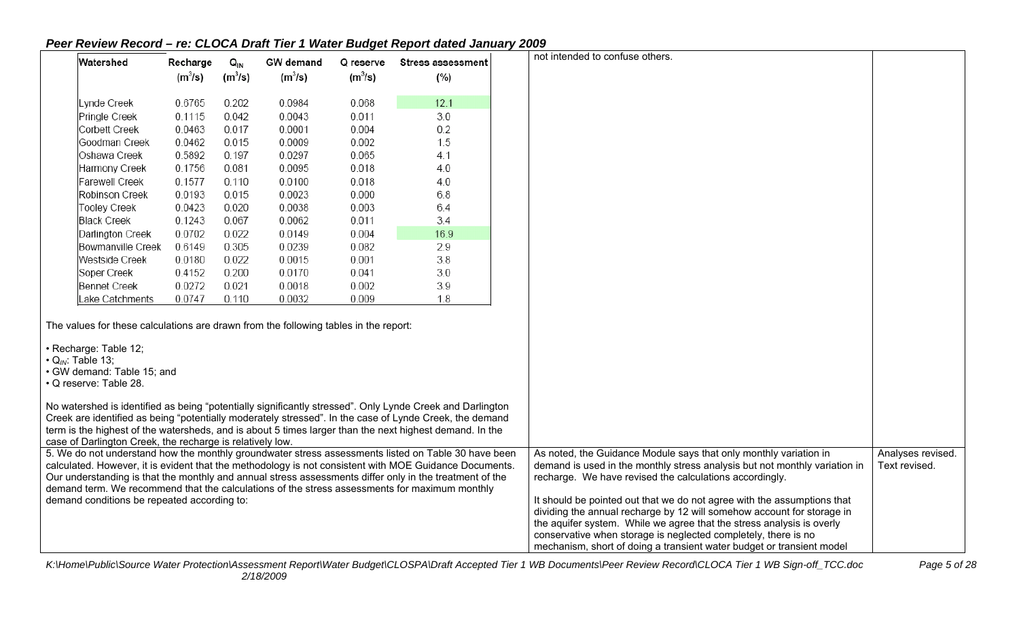| Watershed                                                                                                                                                                                                    | Recharge  | $Q_{\text{IN}}$ | <b>GW</b> demand | Q reserve | <b>Stress assessment</b>                                                                                                                                                                                                                                                                                                                                                                                                  | not intended to confuse others.                                                                                                                                                                                                                                                                                                                                                                                                                                                                                                                                                     |                                    |
|--------------------------------------------------------------------------------------------------------------------------------------------------------------------------------------------------------------|-----------|-----------------|------------------|-----------|---------------------------------------------------------------------------------------------------------------------------------------------------------------------------------------------------------------------------------------------------------------------------------------------------------------------------------------------------------------------------------------------------------------------------|-------------------------------------------------------------------------------------------------------------------------------------------------------------------------------------------------------------------------------------------------------------------------------------------------------------------------------------------------------------------------------------------------------------------------------------------------------------------------------------------------------------------------------------------------------------------------------------|------------------------------------|
|                                                                                                                                                                                                              | $(m^3/s)$ | $(m^3/s)$       | $(m^3/s)$        | $(m^3/s)$ | (%)                                                                                                                                                                                                                                                                                                                                                                                                                       |                                                                                                                                                                                                                                                                                                                                                                                                                                                                                                                                                                                     |                                    |
| Lynde Creek                                                                                                                                                                                                  | 0.6765    | 0.202           | 0.0984           | 0.068     | 12.1                                                                                                                                                                                                                                                                                                                                                                                                                      |                                                                                                                                                                                                                                                                                                                                                                                                                                                                                                                                                                                     |                                    |
| Pringle Creek                                                                                                                                                                                                | 0.1115    | 0.042           | 0.0043           | 0.011     | 3.0                                                                                                                                                                                                                                                                                                                                                                                                                       |                                                                                                                                                                                                                                                                                                                                                                                                                                                                                                                                                                                     |                                    |
| Corbett Creek                                                                                                                                                                                                | 0.0463    | 0.017           | 0.0001           | 0.004     | 0.2                                                                                                                                                                                                                                                                                                                                                                                                                       |                                                                                                                                                                                                                                                                                                                                                                                                                                                                                                                                                                                     |                                    |
| Goodman Creek                                                                                                                                                                                                | 0.0462    | 0.015           | 0.0009           | 0.002     | 1.5                                                                                                                                                                                                                                                                                                                                                                                                                       |                                                                                                                                                                                                                                                                                                                                                                                                                                                                                                                                                                                     |                                    |
| Oshawa Creek                                                                                                                                                                                                 | 0.5892    | 0.197           | 0.0297           | 0.065     | 4.1                                                                                                                                                                                                                                                                                                                                                                                                                       |                                                                                                                                                                                                                                                                                                                                                                                                                                                                                                                                                                                     |                                    |
| Harmony Creek                                                                                                                                                                                                | 0.1756    | 0.081           | 0.0095           | 0.018     | 4.0                                                                                                                                                                                                                                                                                                                                                                                                                       |                                                                                                                                                                                                                                                                                                                                                                                                                                                                                                                                                                                     |                                    |
| Farewell Creek                                                                                                                                                                                               | 0.1577    | 0.110           | 0.0100           | 0.018     | 4.0                                                                                                                                                                                                                                                                                                                                                                                                                       |                                                                                                                                                                                                                                                                                                                                                                                                                                                                                                                                                                                     |                                    |
| Robinson Creek                                                                                                                                                                                               | 0.0193    | 0.015           | 0.0023           | 0.000     | 6.8                                                                                                                                                                                                                                                                                                                                                                                                                       |                                                                                                                                                                                                                                                                                                                                                                                                                                                                                                                                                                                     |                                    |
| Tooley Creek                                                                                                                                                                                                 | 0.0423    | 0.020           | 0.0038           | 0.003     | 6.4                                                                                                                                                                                                                                                                                                                                                                                                                       |                                                                                                                                                                                                                                                                                                                                                                                                                                                                                                                                                                                     |                                    |
| <b>Black Creek</b>                                                                                                                                                                                           | 0.1243    | 0.067           | 0.0062           | 0.011     | 3.4                                                                                                                                                                                                                                                                                                                                                                                                                       |                                                                                                                                                                                                                                                                                                                                                                                                                                                                                                                                                                                     |                                    |
| Darlington Creek                                                                                                                                                                                             | 0.0702    | 0.022           | 0.0149           | 0.004     | 16.9                                                                                                                                                                                                                                                                                                                                                                                                                      |                                                                                                                                                                                                                                                                                                                                                                                                                                                                                                                                                                                     |                                    |
| Bowmanville Creek                                                                                                                                                                                            | 0.6149    | 0.305           | 0.0239           | 0.082     | 2.9                                                                                                                                                                                                                                                                                                                                                                                                                       |                                                                                                                                                                                                                                                                                                                                                                                                                                                                                                                                                                                     |                                    |
| Westside Creek                                                                                                                                                                                               | 0.0180    | 0.022           | 0.0015           | 0.001     | 3.8                                                                                                                                                                                                                                                                                                                                                                                                                       |                                                                                                                                                                                                                                                                                                                                                                                                                                                                                                                                                                                     |                                    |
| Soper Creek                                                                                                                                                                                                  | 0.4152    | 0.200           | 0.0170           | 0.041     | 3.0                                                                                                                                                                                                                                                                                                                                                                                                                       |                                                                                                                                                                                                                                                                                                                                                                                                                                                                                                                                                                                     |                                    |
| Bennet Creek                                                                                                                                                                                                 | 0.0272    | 0.021           | 0.0018           | 0.002     | 3.9                                                                                                                                                                                                                                                                                                                                                                                                                       |                                                                                                                                                                                                                                                                                                                                                                                                                                                                                                                                                                                     |                                    |
| Lake Catchments                                                                                                                                                                                              | 0.0747    | 0.110           | 0.0032           | 0.009     | 1.8                                                                                                                                                                                                                                                                                                                                                                                                                       |                                                                                                                                                                                                                                                                                                                                                                                                                                                                                                                                                                                     |                                    |
| The values for these calculations are drawn from the following tables in the report:<br>· Recharge: Table 12;<br>$\cdot$ Q <sub>IN</sub> : Table 13;<br>· GW demand: Table 15; and<br>· Q reserve: Table 28. |           |                 |                  |           |                                                                                                                                                                                                                                                                                                                                                                                                                           |                                                                                                                                                                                                                                                                                                                                                                                                                                                                                                                                                                                     |                                    |
| case of Darlington Creek, the recharge is relatively low.                                                                                                                                                    |           |                 |                  |           | No watershed is identified as being "potentially significantly stressed". Only Lynde Creek and Darlington<br>Creek are identified as being "potentially moderately stressed". In the case of Lynde Creek, the demand<br>term is the highest of the watersheds, and is about 5 times larger than the next highest demand. In the                                                                                           |                                                                                                                                                                                                                                                                                                                                                                                                                                                                                                                                                                                     |                                    |
| demand conditions be repeated according to:                                                                                                                                                                  |           |                 |                  |           | 5. We do not understand how the monthly groundwater stress assessments listed on Table 30 have been<br>calculated. However, it is evident that the methodology is not consistent with MOE Guidance Documents.<br>Our understanding is that the monthly and annual stress assessments differ only in the treatment of the<br>demand term. We recommend that the calculations of the stress assessments for maximum monthly | As noted, the Guidance Module says that only monthly variation in<br>demand is used in the monthly stress analysis but not monthly variation in<br>recharge. We have revised the calculations accordingly.<br>It should be pointed out that we do not agree with the assumptions that<br>dividing the annual recharge by 12 will somehow account for storage in<br>the aquifer system. While we agree that the stress analysis is overly<br>conservative when storage is neglected completely, there is no<br>mechanism, short of doing a transient water budget or transient model | Analyses revised.<br>Text revised. |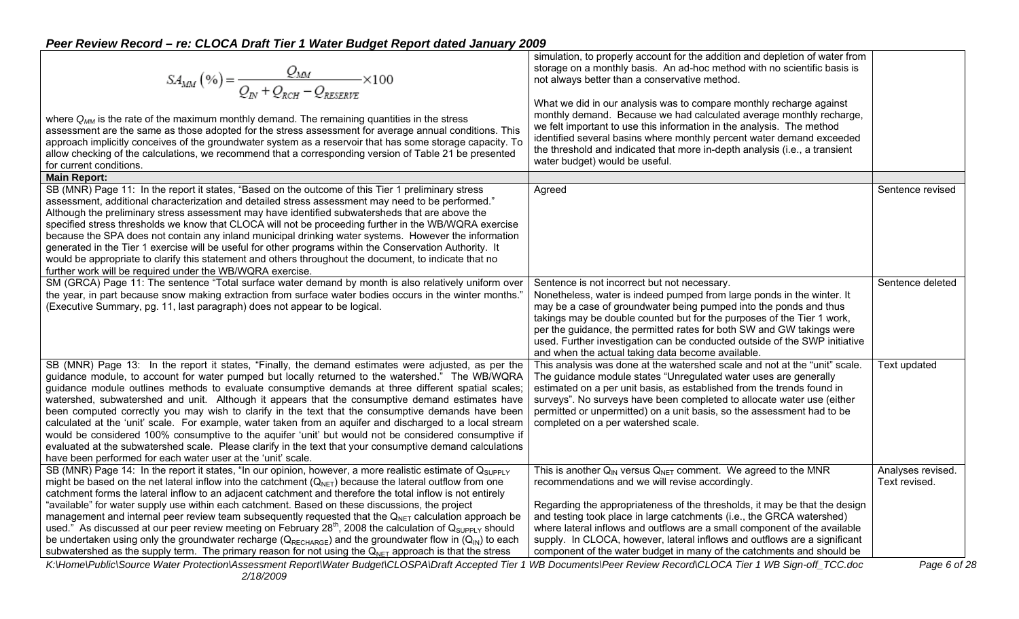| $SA_{MM}(\%) = \frac{Q_{MM}}{Q_{N} + Q_{RCH} - Q_{RESPRVR}} \times 100$<br>where $Q_{MM}$ is the rate of the maximum monthly demand. The remaining quantities in the stress<br>assessment are the same as those adopted for the stress assessment for average annual conditions. This<br>approach implicitly conceives of the groundwater system as a reservoir that has some storage capacity. To<br>allow checking of the calculations, we recommend that a corresponding version of Table 21 be presented<br>for current conditions.<br><b>Main Report:</b>                                                                                                                                                                                                                                                                                                                                                                                   | simulation, to properly account for the addition and depletion of water from<br>storage on a monthly basis. An ad-hoc method with no scientific basis is<br>not always better than a conservative method.<br>What we did in our analysis was to compare monthly recharge against<br>monthly demand. Because we had calculated average monthly recharge,<br>we felt important to use this information in the analysis. The method<br>identified several basins where monthly percent water demand exceeded<br>the threshold and indicated that more in-depth analysis (i.e., a transient<br>water budget) would be useful. |                                    |  |
|--------------------------------------------------------------------------------------------------------------------------------------------------------------------------------------------------------------------------------------------------------------------------------------------------------------------------------------------------------------------------------------------------------------------------------------------------------------------------------------------------------------------------------------------------------------------------------------------------------------------------------------------------------------------------------------------------------------------------------------------------------------------------------------------------------------------------------------------------------------------------------------------------------------------------------------------------|---------------------------------------------------------------------------------------------------------------------------------------------------------------------------------------------------------------------------------------------------------------------------------------------------------------------------------------------------------------------------------------------------------------------------------------------------------------------------------------------------------------------------------------------------------------------------------------------------------------------------|------------------------------------|--|
| SB (MNR) Page 11: In the report it states, "Based on the outcome of this Tier 1 preliminary stress<br>assessment, additional characterization and detailed stress assessment may need to be performed."<br>Although the preliminary stress assessment may have identified subwatersheds that are above the<br>specified stress thresholds we know that CLOCA will not be proceeding further in the WB/WQRA exercise<br>because the SPA does not contain any inland municipal drinking water systems. However the information<br>generated in the Tier 1 exercise will be useful for other programs within the Conservation Authority. It<br>would be appropriate to clarify this statement and others throughout the document, to indicate that no<br>further work will be required under the WB/WQRA exercise.                                                                                                                                  | Agreed                                                                                                                                                                                                                                                                                                                                                                                                                                                                                                                                                                                                                    | Sentence revised                   |  |
| SM (GRCA) Page 11: The sentence "Total surface water demand by month is also relatively uniform over<br>the year, in part because snow making extraction from surface water bodies occurs in the winter months."<br>(Executive Summary, pg. 11, last paragraph) does not appear to be logical.                                                                                                                                                                                                                                                                                                                                                                                                                                                                                                                                                                                                                                                   | Sentence is not incorrect but not necessary.<br>Nonetheless, water is indeed pumped from large ponds in the winter. It<br>may be a case of groundwater being pumped into the ponds and thus<br>takings may be double counted but for the purposes of the Tier 1 work,<br>per the guidance, the permitted rates for both SW and GW takings were<br>used. Further investigation can be conducted outside of the SWP initiative<br>and when the actual taking data become available.                                                                                                                                         | Sentence deleted                   |  |
| SB (MNR) Page 13: In the report it states, "Finally, the demand estimates were adjusted, as per the<br>guidance module, to account for water pumped but locally returned to the watershed." The WB/WQRA<br>guidance module outlines methods to evaluate consumptive demands at three different spatial scales;<br>watershed, subwatershed and unit. Although it appears that the consumptive demand estimates have<br>been computed correctly you may wish to clarify in the text that the consumptive demands have been<br>calculated at the 'unit' scale. For example, water taken from an aquifer and discharged to a local stream<br>would be considered 100% consumptive to the aquifer 'unit' but would not be considered consumptive if<br>evaluated at the subwatershed scale. Please clarify in the text that your consumptive demand calculations<br>have been performed for each water user at the 'unit' scale.                      | This analysis was done at the watershed scale and not at the "unit" scale.<br>The guidance module states "Unregulated water uses are generally<br>estimated on a per unit basis, as established from the trends found in<br>surveys". No surveys have been completed to allocate water use (either<br>permitted or unpermitted) on a unit basis, so the assessment had to be<br>completed on a per watershed scale.                                                                                                                                                                                                       | Text updated                       |  |
| SB (MNR) Page 14: In the report it states, "In our opinion, however, a more realistic estimate of $Q_{\text{SUPPLY}}$<br>might be based on the net lateral inflow into the catchment $(Q_{NET})$ because the lateral outflow from one<br>catchment forms the lateral inflow to an adjacent catchment and therefore the total inflow is not entirely<br>"available" for water supply use within each catchment. Based on these discussions, the project<br>management and internal peer review team subsequently requested that the $Q_{NET}$ calculation approach be<br>used." As discussed at our peer review meeting on February 28 <sup>th</sup> , 2008 the calculation of Q <sub>SUPPLY</sub> should<br>be undertaken using only the groundwater recharge ( $Q_{RECHARGE}$ ) and the groundwater flow in ( $Q_{IN}$ ) to each<br>subwatershed as the supply term. The primary reason for not using the $Q_{NET}$ approach is that the stress | This is another $Q_{IN}$ versus $Q_{NET}$ comment. We agreed to the MNR<br>recommendations and we will revise accordingly.<br>Regarding the appropriateness of the thresholds, it may be that the design<br>and testing took place in large catchments (i.e., the GRCA watershed)<br>where lateral inflows and outflows are a small component of the available<br>supply. In CLOCA, however, lateral inflows and outflows are a significant<br>component of the water budget in many of the catchments and should be                                                                                                      | Analyses revised.<br>Text revised. |  |
| K:\Home\Public\Source Water Protection\Assessment Report\Water Budget\CLOSPA\Draft Accepted Tier 1 WB Documents\Peer Review Record\CLOCA Tier 1 WB Sign-off_TCC.doc                                                                                                                                                                                                                                                                                                                                                                                                                                                                                                                                                                                                                                                                                                                                                                              |                                                                                                                                                                                                                                                                                                                                                                                                                                                                                                                                                                                                                           | Page 6 of 28                       |  |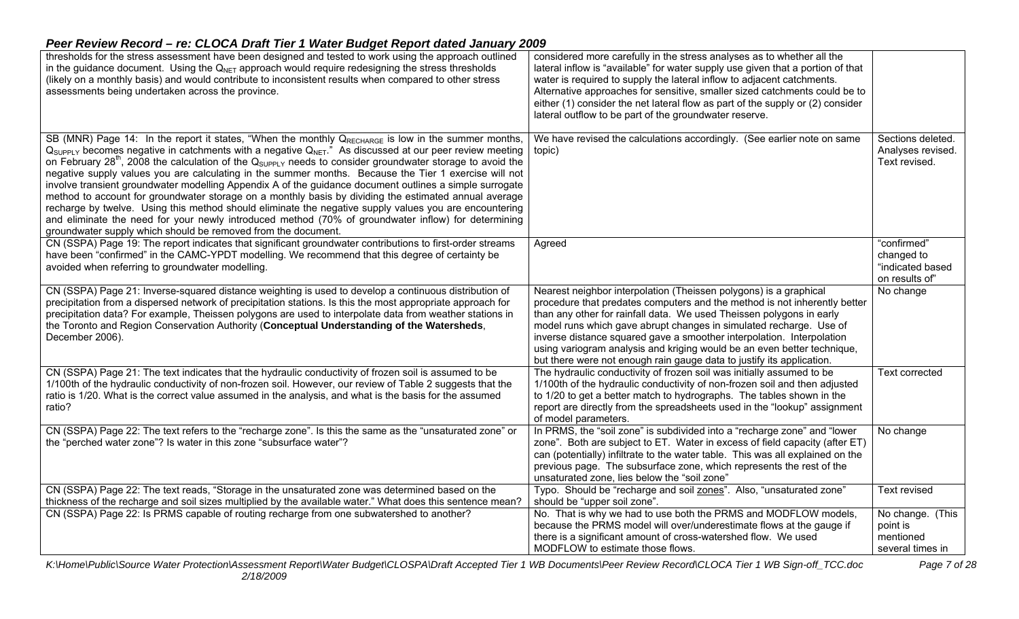| thresholds for the stress assessment have been designed and tested to work using the approach outlined<br>in the guidance document. Using the $Q_{NET}$ approach would require redesigning the stress thresholds<br>(likely on a monthly basis) and would contribute to inconsistent results when compared to other stress<br>assessments being undertaken across the province.                                                                                                                                                                                                                                                                                                                                                                                                                                                                                                                                                                                                        | considered more carefully in the stress analyses as to whether all the<br>lateral inflow is "available" for water supply use given that a portion of that<br>water is required to supply the lateral inflow to adjacent catchments.<br>Alternative approaches for sensitive, smaller sized catchments could be to<br>either (1) consider the net lateral flow as part of the supply or (2) consider<br>lateral outflow to be part of the groundwater reserve.                                                             |                                                                 |
|----------------------------------------------------------------------------------------------------------------------------------------------------------------------------------------------------------------------------------------------------------------------------------------------------------------------------------------------------------------------------------------------------------------------------------------------------------------------------------------------------------------------------------------------------------------------------------------------------------------------------------------------------------------------------------------------------------------------------------------------------------------------------------------------------------------------------------------------------------------------------------------------------------------------------------------------------------------------------------------|---------------------------------------------------------------------------------------------------------------------------------------------------------------------------------------------------------------------------------------------------------------------------------------------------------------------------------------------------------------------------------------------------------------------------------------------------------------------------------------------------------------------------|-----------------------------------------------------------------|
| SB (MNR) Page 14: In the report it states, "When the monthly QRECHARGE is low in the summer months,<br>$Q_{SUPPLY}$ becomes negative in catchments with a negative $Q_{NET}$ ." As discussed at our peer review meeting<br>on February 28 <sup>th</sup> , 2008 the calculation of the $Q_{\text{supp} \downarrow Y}$ needs to consider groundwater storage to avoid the<br>negative supply values you are calculating in the summer months. Because the Tier 1 exercise will not<br>involve transient groundwater modelling Appendix A of the guidance document outlines a simple surrogate<br>method to account for groundwater storage on a monthly basis by dividing the estimated annual average<br>recharge by twelve. Using this method should eliminate the negative supply values you are encountering<br>and eliminate the need for your newly introduced method (70% of groundwater inflow) for determining<br>groundwater supply which should be removed from the document. | We have revised the calculations accordingly. (See earlier note on same<br>topic)                                                                                                                                                                                                                                                                                                                                                                                                                                         | Sections deleted.<br>Analyses revised.<br>Text revised.         |
| CN (SSPA) Page 19: The report indicates that significant groundwater contributions to first-order streams<br>have been "confirmed" in the CAMC-YPDT modelling. We recommend that this degree of certainty be<br>avoided when referring to groundwater modelling.                                                                                                                                                                                                                                                                                                                                                                                                                                                                                                                                                                                                                                                                                                                       | Agreed                                                                                                                                                                                                                                                                                                                                                                                                                                                                                                                    | "confirmed"<br>changed to<br>"indicated based<br>on results of" |
| CN (SSPA) Page 21: Inverse-squared distance weighting is used to develop a continuous distribution of<br>precipitation from a dispersed network of precipitation stations. Is this the most appropriate approach for<br>precipitation data? For example, Theissen polygons are used to interpolate data from weather stations in<br>the Toronto and Region Conservation Authority (Conceptual Understanding of the Watersheds,<br>December 2006).                                                                                                                                                                                                                                                                                                                                                                                                                                                                                                                                      | Nearest neighbor interpolation (Theissen polygons) is a graphical<br>procedure that predates computers and the method is not inherently better<br>than any other for rainfall data. We used Theissen polygons in early<br>model runs which gave abrupt changes in simulated recharge. Use of<br>inverse distance squared gave a smoother interpolation. Interpolation<br>using variogram analysis and kriging would be an even better technique,<br>but there were not enough rain gauge data to justify its application. | No change                                                       |
| CN (SSPA) Page 21: The text indicates that the hydraulic conductivity of frozen soil is assumed to be<br>1/100th of the hydraulic conductivity of non-frozen soil. However, our review of Table 2 suggests that the<br>ratio is 1/20. What is the correct value assumed in the analysis, and what is the basis for the assumed<br>ratio?                                                                                                                                                                                                                                                                                                                                                                                                                                                                                                                                                                                                                                               | The hydraulic conductivity of frozen soil was initially assumed to be<br>1/100th of the hydraulic conductivity of non-frozen soil and then adjusted<br>to 1/20 to get a better match to hydrographs. The tables shown in the<br>report are directly from the spreadsheets used in the "lookup" assignment<br>of model parameters.                                                                                                                                                                                         | <b>Text corrected</b>                                           |
| CN (SSPA) Page 22: The text refers to the "recharge zone". Is this the same as the "unsaturated zone" or<br>the "perched water zone"? Is water in this zone "subsurface water"?                                                                                                                                                                                                                                                                                                                                                                                                                                                                                                                                                                                                                                                                                                                                                                                                        | In PRMS, the "soil zone" is subdivided into a "recharge zone" and "lower<br>zone". Both are subject to ET. Water in excess of field capacity (after ET)<br>can (potentially) infiltrate to the water table. This was all explained on the<br>previous page. The subsurface zone, which represents the rest of the<br>unsaturated zone, lies below the "soil zone"                                                                                                                                                         | No change                                                       |
| CN (SSPA) Page 22: The text reads, "Storage in the unsaturated zone was determined based on the<br>thickness of the recharge and soil sizes multiplied by the available water." What does this sentence mean?                                                                                                                                                                                                                                                                                                                                                                                                                                                                                                                                                                                                                                                                                                                                                                          | Typo. Should be "recharge and soil zones". Also, "unsaturated zone"<br>should be "upper soil zone".                                                                                                                                                                                                                                                                                                                                                                                                                       | <b>Text revised</b>                                             |
| CN (SSPA) Page 22: Is PRMS capable of routing recharge from one subwatershed to another?                                                                                                                                                                                                                                                                                                                                                                                                                                                                                                                                                                                                                                                                                                                                                                                                                                                                                               | No. That is why we had to use both the PRMS and MODFLOW models,<br>because the PRMS model will over/underestimate flows at the gauge if<br>there is a significant amount of cross-watershed flow. We used<br>MODFLOW to estimate those flows.                                                                                                                                                                                                                                                                             | No change. (This<br>point is<br>mentioned<br>several times in   |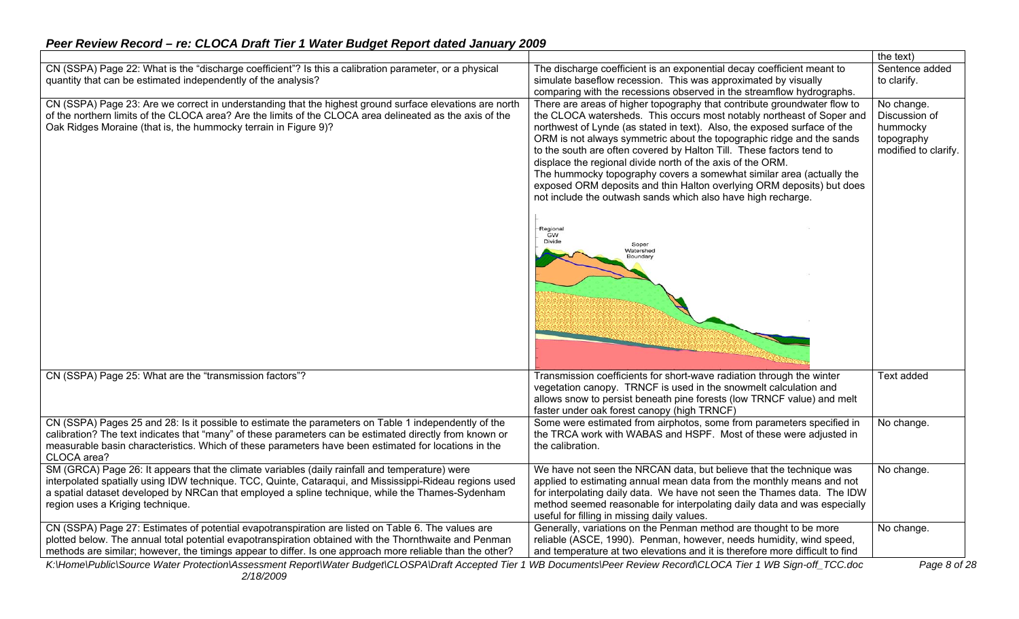#### the text) CN (SSPA) Page 22: What is the "discharge coefficient"? Is this a calibration parameter, or a physical The discharge coefficient is an exponential decay coefficient meant to Sentence added quantity that can be estimated independently of the analysis? simulate baseflow recession. This was approximated by visually to clarify. comparing with the recessions observed in the streamflow hydrographs. CN (SSPA) Page 23: Are we correct in understanding that the highest ground surface elevations are north There are areas of higher topography that contribute groundwater flow to No change. of the northern limits of the CLOCA area? Are the limits of the CLOCA area delineated as the axis of the the CLOCA watersheds. This occurs most notably northeast of Soper and Discussion of northwest of Lynde (as stated in text). Also, the exposed surface of the Oak Ridges Moraine (that is, the hummocky terrain in Figure 9)? hummocky ORM is not always symmetric about the topographic ridge and the sands topography to the south are often covered by Halton Till. These factors tend to modified to clarify. displace the regional divide north of the axis of the ORM. The hummocky topography covers a somewhat similar area (actually the exposed ORM deposits and thin Halton overlying ORM deposits) but does not include the outwash sands which also have high recharge. Regional GW Divide Soper Watershed CN (SSPA) Page 25: What are the "transmission factors"? Transmission coefficients for short-wave radiation through the winter Text added vegetation canopy. TRNCF is used in the snowmelt calculation and allows snow to persist beneath pine forests (low TRNCF value) and melt faster under oak forest canopy (high TRNCF) CN (SSPA) Pages 25 and 28: Is it possible to estimate the parameters on Table 1 independently of the Some were estimated from airphotos, some from parameters specified in No change. calibration? The text indicates that "many" of these parameters can be estimated directly from known or the TRCA work with WABAS and HSPF. Most of these were adjusted in measurable basin characteristics. Which of these parameters have been estimated for locations in the the calibration. CLOCA area? SM (GRCA) Page 26: It appears that the climate variables (daily rainfall and temperature) were We have not seen the NRCAN data, but believe that the technique was No change. interpolated spatially using IDW technique. TCC, Quinte, Cataraqui, and Mississippi-Rideau regions used applied to estimating annual mean data from the monthly means and not a spatial dataset developed by NRCan that employed a spline technique, while the Thames-Sydenham for interpolating daily data. We have not seen the Thames data. The IDW region uses a Kriging technique. method seemed reasonable for interpolating daily data and was especially useful for filling in missing daily values. CN (SSPA) Page 27: Estimates of potential evapotranspiration are listed on Table 6. The values are Generally, variations on the Penman method are thought to be more No change. plotted below. The annual total potential evapotranspiration obtained with the Thornthwaite and Penman reliable (ASCE, 1990). Penman, however, needs humidity, wind speed, methods are similar; however, the timings appear to differ. Is one approach more reliable than the other? and temperature at two elevations and it is therefore more difficult to find *K:\Home\Public\Source Water Protection\Assessment Report\Water Budget\CLOSPA\Draft Accepted Tier 1 WB Documents\Peer Review Record\CLOCA Tier 1 WB Sign-off\_TCC.doc Page 8 of 28*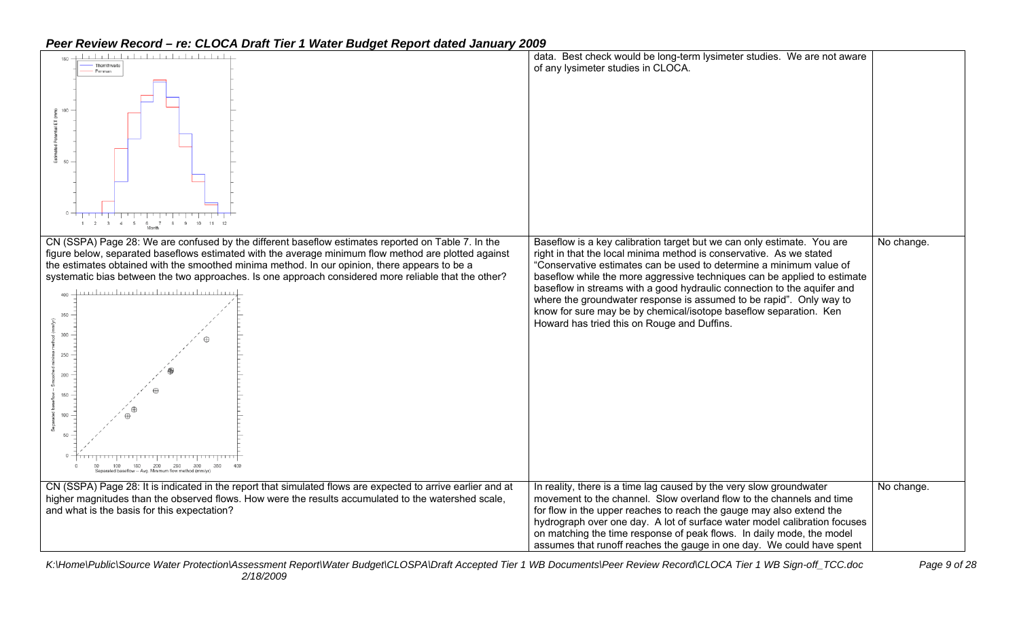| Thomthwaite<br>Penman<br>100<br>50<br>$1 \t2 \t3 \t4 \t5 \t6 \t7 \t8 \t9 \t10 \t11 \t12$                                                                                                                                                                                                                                                                                                                                                                                                                                                                      | data. Best check would be long-term lysimeter studies. We are not aware<br>of any lysimeter studies in CLOCA.                                                                                                                                                                                                                                                                                                                                                                                                                                                          |            |
|---------------------------------------------------------------------------------------------------------------------------------------------------------------------------------------------------------------------------------------------------------------------------------------------------------------------------------------------------------------------------------------------------------------------------------------------------------------------------------------------------------------------------------------------------------------|------------------------------------------------------------------------------------------------------------------------------------------------------------------------------------------------------------------------------------------------------------------------------------------------------------------------------------------------------------------------------------------------------------------------------------------------------------------------------------------------------------------------------------------------------------------------|------------|
| CN (SSPA) Page 28: We are confused by the different baseflow estimates reported on Table 7. In the<br>figure below, separated baseflows estimated with the average minimum flow method are plotted against<br>the estimates obtained with the smoothed minima method. In our opinion, there appears to be a<br>systematic bias between the two approaches. Is one approach considered more reliable that the other?<br>350<br>300<br>250<br>200<br>150<br>$100 -$<br>$50 -$<br>50 100 150 200 250 300<br>Separated baseflow -- Avg. Minimum flow method (mm/y | Baseflow is a key calibration target but we can only estimate. You are<br>right in that the local minima method is conservative. As we stated<br>"Conservative estimates can be used to determine a minimum value of<br>baseflow while the more aggressive techniques can be applied to estimate<br>baseflow in streams with a good hydraulic connection to the aquifer and<br>where the groundwater response is assumed to be rapid". Only way to<br>know for sure may be by chemical/isotope baseflow separation. Ken<br>Howard has tried this on Rouge and Duffins. | No change. |
| CN (SSPA) Page 28: It is indicated in the report that simulated flows are expected to arrive earlier and at<br>higher magnitudes than the observed flows. How were the results accumulated to the watershed scale,<br>and what is the basis for this expectation?                                                                                                                                                                                                                                                                                             | In reality, there is a time lag caused by the very slow groundwater<br>movement to the channel. Slow overland flow to the channels and time<br>for flow in the upper reaches to reach the gauge may also extend the<br>hydrograph over one day. A lot of surface water model calibration focuses<br>on matching the time response of peak flows. In daily mode, the model<br>assumes that runoff reaches the gauge in one day. We could have spent                                                                                                                     | No change. |

*K:\Home\Public\Source Water Protection\Assessment Report\Water Budget\CLOSPA\Draft Accepted Tier 1 WB Documents\Peer Review Record\CLOCA Tier 1 WB Sign-off\_TCC.doc Page 9 of 28 2/18/2009*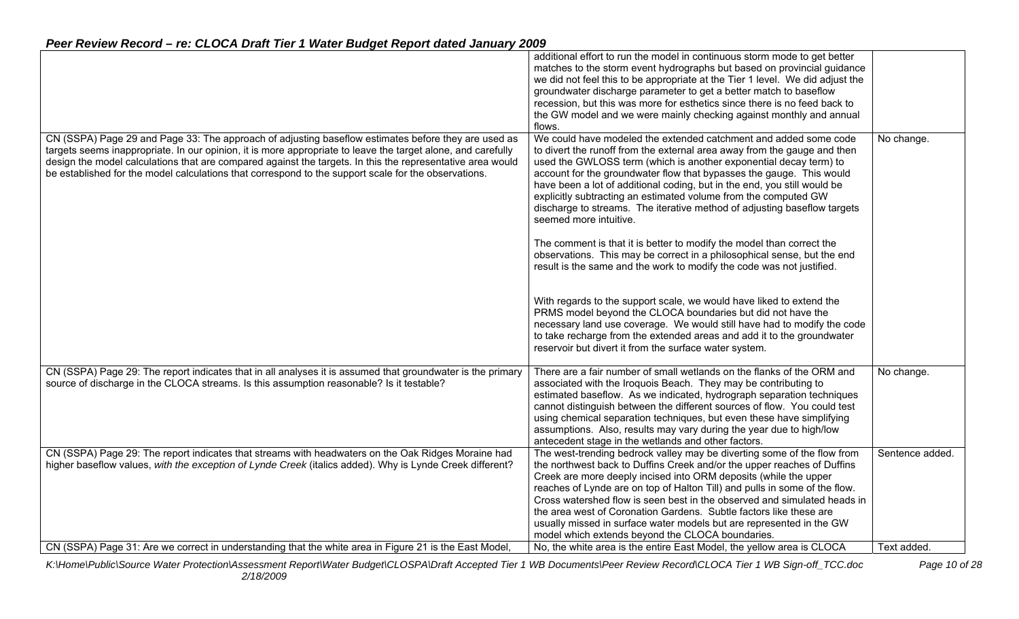|                                                                                                                                                                                                                                                                                                                                                                                                                                           | additional effort to run the model in continuous storm mode to get better<br>matches to the storm event hydrographs but based on provincial guidance<br>we did not feel this to be appropriate at the Tier 1 level. We did adjust the<br>groundwater discharge parameter to get a better match to baseflow<br>recession, but this was more for esthetics since there is no feed back to<br>the GW model and we were mainly checking against monthly and annual<br>flows.                                                                                                           |                 |
|-------------------------------------------------------------------------------------------------------------------------------------------------------------------------------------------------------------------------------------------------------------------------------------------------------------------------------------------------------------------------------------------------------------------------------------------|------------------------------------------------------------------------------------------------------------------------------------------------------------------------------------------------------------------------------------------------------------------------------------------------------------------------------------------------------------------------------------------------------------------------------------------------------------------------------------------------------------------------------------------------------------------------------------|-----------------|
| CN (SSPA) Page 29 and Page 33: The approach of adjusting baseflow estimates before they are used as<br>targets seems inappropriate. In our opinion, it is more appropriate to leave the target alone, and carefully<br>design the model calculations that are compared against the targets. In this the representative area would<br>be established for the model calculations that correspond to the support scale for the observations. | We could have modeled the extended catchment and added some code<br>to divert the runoff from the external area away from the gauge and then<br>used the GWLOSS term (which is another exponential decay term) to<br>account for the groundwater flow that bypasses the gauge. This would<br>have been a lot of additional coding, but in the end, you still would be<br>explicitly subtracting an estimated volume from the computed GW<br>discharge to streams. The iterative method of adjusting baseflow targets<br>seemed more intuitive.                                     | No change.      |
|                                                                                                                                                                                                                                                                                                                                                                                                                                           | The comment is that it is better to modify the model than correct the<br>observations. This may be correct in a philosophical sense, but the end<br>result is the same and the work to modify the code was not justified.                                                                                                                                                                                                                                                                                                                                                          |                 |
|                                                                                                                                                                                                                                                                                                                                                                                                                                           | With regards to the support scale, we would have liked to extend the<br>PRMS model beyond the CLOCA boundaries but did not have the<br>necessary land use coverage. We would still have had to modify the code<br>to take recharge from the extended areas and add it to the groundwater<br>reservoir but divert it from the surface water system.                                                                                                                                                                                                                                 |                 |
| CN (SSPA) Page 29: The report indicates that in all analyses it is assumed that groundwater is the primary<br>source of discharge in the CLOCA streams. Is this assumption reasonable? Is it testable?                                                                                                                                                                                                                                    | There are a fair number of small wetlands on the flanks of the ORM and<br>associated with the Iroquois Beach. They may be contributing to<br>estimated baseflow. As we indicated, hydrograph separation techniques<br>cannot distinguish between the different sources of flow. You could test<br>using chemical separation techniques, but even these have simplifying<br>assumptions. Also, results may vary during the year due to high/low<br>antecedent stage in the wetlands and other factors.                                                                              | No change.      |
| CN (SSPA) Page 29: The report indicates that streams with headwaters on the Oak Ridges Moraine had<br>higher baseflow values, with the exception of Lynde Creek (italics added). Why is Lynde Creek different?                                                                                                                                                                                                                            | The west-trending bedrock valley may be diverting some of the flow from<br>the northwest back to Duffins Creek and/or the upper reaches of Duffins<br>Creek are more deeply incised into ORM deposits (while the upper<br>reaches of Lynde are on top of Halton Till) and pulls in some of the flow.<br>Cross watershed flow is seen best in the observed and simulated heads in<br>the area west of Coronation Gardens. Subtle factors like these are<br>usually missed in surface water models but are represented in the GW<br>model which extends beyond the CLOCA boundaries. | Sentence added. |
| CN (SSPA) Page 31: Are we correct in understanding that the white area in Figure 21 is the East Model.                                                                                                                                                                                                                                                                                                                                    | No, the white area is the entire East Model, the yellow area is CLOCA                                                                                                                                                                                                                                                                                                                                                                                                                                                                                                              | Text added.     |

*K:\Home\Public\Source Water Protection\Assessment Report\Water Budget\CLOSPA\Draft Accepted Tier 1 WB Documents\Peer Review Record\CLOCA Tier 1 WB Sign-off\_TCC.doc Page 10 of 28 2/18/2009*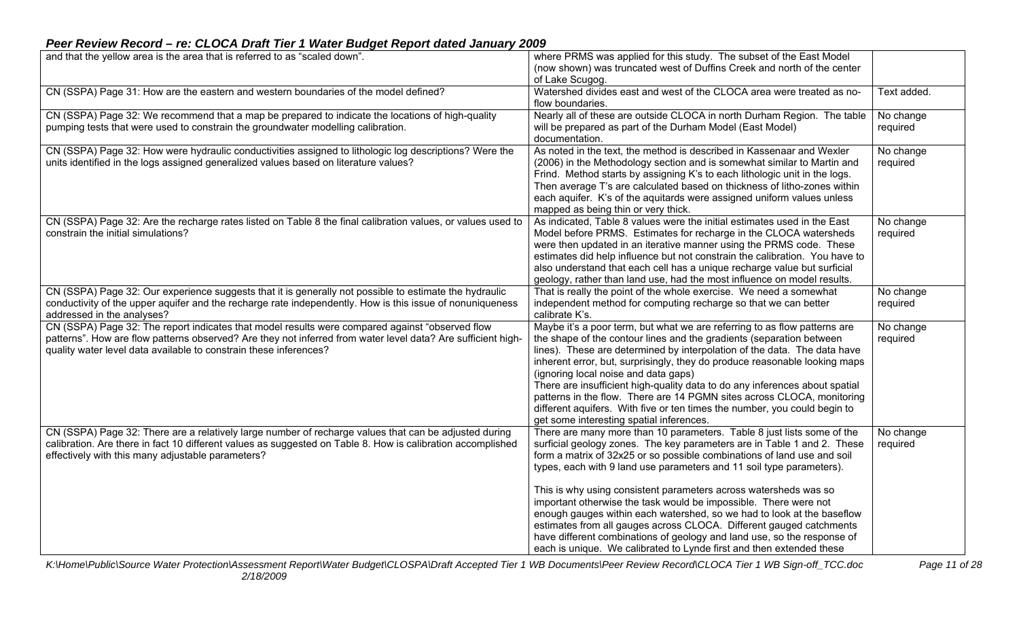#### **Peer Review Record – re: CLOCA Draft Tier 1 Water Budget Report dated January 2009**<br>and that the vellow area is the area that is referred to as "scaled down". and that the yellow area is the area that is referred to as "scaled down". (now shown) was truncated west of Duffins Creek and north of the center of Lake Scugog. CN (SSPA) Page 31: How are the eastern and western boundaries of the model defined? Watershed divides east and west of the CLOCA area were treated as no-<br>flow boundaries. CN (SSPA) Page 32: We recommend that a map be prepared to indicate the locations of high-quality pumping tests that were used to constrain the groundwater modelling calibration. Nearly all of these are outside CLOCA in north Durham Region. The table will be prepared as part of the Durham Model (East Model) documentation. No change required CN (SSPA) Page 32: How were hydraulic conductivities assigned to lithologic log descriptions? Were the units identified in the logs assigned generalized values based on literature values? As noted in the text, the method is described in Kassenaar and Wexler (2006) in the Methodology section and is somewhat similar to Martin and Frind. Method starts by assigning K's to each lithologic unit in the logs. Then average T's are calculated based on thickness of litho-zones within each aquifer. K's of the aquitards were assigned uniform values unless mapped as being thin or very thick. No change required CN (SSPA) Page 32: Are the recharge rates listed on Table 8 the final calibration values, or values used to constrain the initial simulations? As indicated, Table 8 values were the initial estimates used in the East Model before PRMS. Estimates for recharge in the CLOCA watersheds were then updated in an iterative manner using the PRMS code. These estimates did help influence but not constrain the calibration. You have to also understand that each cell has a unique recharge value but surficial geology, rather than land use, had the most influence on model results. No change required CN (SSPA) Page 32: Our experience suggests that it is generally not possible to estimate the hydraulic conductivity of the upper aquifer and the recharge rate independently. How is this issue of nonuniqueness addressed in the analyses? That is really the point of the whole exercise. We need a somewhat independent method for computing recharge so that we can better calibrate K's. No change required CN (SSPA) Page 32: The report indicates that model results were compared against "observed flow patterns". How are flow patterns observed? Are they not inferred from water level data? Are sufficient highquality water level data available to constrain these inferences? Maybe it's a poor term, but what we are referring to as flow patterns are the shape of the contour lines and the gradients (separation between lines). These are determined by interpolation of the data. The data have inherent error, but, surprisingly, they do produce reasonable looking maps (ignoring local noise and data gaps) There are insufficient high-quality data to do any inferences about spatial patterns in the flow. There are 14 PGMN sites across CLOCA, monitoring different aquifers. With five or ten times the number, you could begin to get some interesting spatial inferences. No change required CN (SSPA) Page 32: There are a relatively large number of recharge values that can be adjusted during calibration. Are there in fact 10 different values as suggested on Table 8. How is calibration accomplished effectively with this many adjustable parameters? There are many more than 10 parameters. Table 8 just lists some of the surficial geology zones. The key parameters are in Table 1 and 2. These form a matrix of 32x25 or so possible combinations of land use and soil types, each with 9 land use parameters and 11 soil type parameters). This is why using consistent parameters across watersheds was so important otherwise the task would be impossible. There were not enough gauges within each watershed, so we had to look at the baseflow estimates from all gauges across CLOCA. Different gauged catchments have different combinations of geology and land use, so the response of each is unique. We calibrated to Lynde first and then extended these No change required

*K:\Home\Public\Source Water Protection\Assessment Report\Water Budget\CLOSPA\Draft Accepted Tier 1 WB Documents\Peer Review Record\CLOCA Tier 1 WB Sign-off\_TCC.doc Page 11 of 28 2/18/2009*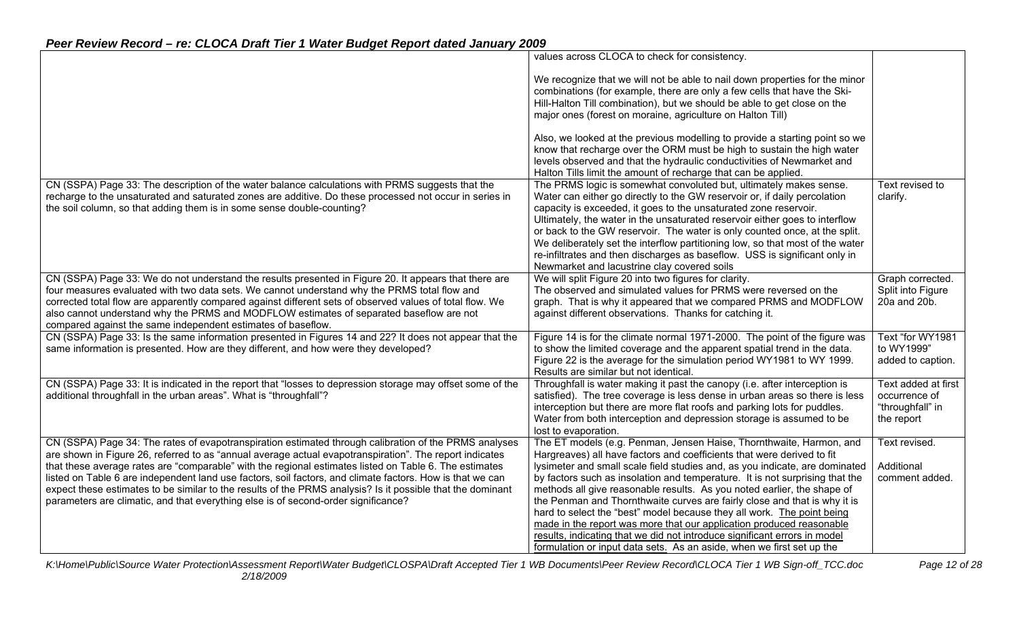|                                                                                                                                                                                                                                                                                                                                                                                                                                                                                                                                                                                                                                             | values across CLOCA to check for consistency.                                                                                                                                                                                                                                                                                                                                                                                                                                                                                                                                                                                                                                                                                                                                |                                                                        |
|---------------------------------------------------------------------------------------------------------------------------------------------------------------------------------------------------------------------------------------------------------------------------------------------------------------------------------------------------------------------------------------------------------------------------------------------------------------------------------------------------------------------------------------------------------------------------------------------------------------------------------------------|------------------------------------------------------------------------------------------------------------------------------------------------------------------------------------------------------------------------------------------------------------------------------------------------------------------------------------------------------------------------------------------------------------------------------------------------------------------------------------------------------------------------------------------------------------------------------------------------------------------------------------------------------------------------------------------------------------------------------------------------------------------------------|------------------------------------------------------------------------|
|                                                                                                                                                                                                                                                                                                                                                                                                                                                                                                                                                                                                                                             | We recognize that we will not be able to nail down properties for the minor<br>combinations (for example, there are only a few cells that have the Ski-<br>Hill-Halton Till combination), but we should be able to get close on the<br>major ones (forest on moraine, agriculture on Halton Till)                                                                                                                                                                                                                                                                                                                                                                                                                                                                            |                                                                        |
|                                                                                                                                                                                                                                                                                                                                                                                                                                                                                                                                                                                                                                             | Also, we looked at the previous modelling to provide a starting point so we<br>know that recharge over the ORM must be high to sustain the high water<br>levels observed and that the hydraulic conductivities of Newmarket and<br>Halton Tills limit the amount of recharge that can be applied.                                                                                                                                                                                                                                                                                                                                                                                                                                                                            |                                                                        |
| CN (SSPA) Page 33: The description of the water balance calculations with PRMS suggests that the<br>recharge to the unsaturated and saturated zones are additive. Do these processed not occur in series in<br>the soil column, so that adding them is in some sense double-counting?                                                                                                                                                                                                                                                                                                                                                       | The PRMS logic is somewhat convoluted but, ultimately makes sense.<br>Water can either go directly to the GW reservoir or, if daily percolation<br>capacity is exceeded, it goes to the unsaturated zone reservoir.<br>Ultimately, the water in the unsaturated reservoir either goes to interflow<br>or back to the GW reservoir. The water is only counted once, at the split.<br>We deliberately set the interflow partitioning low, so that most of the water<br>re-infiltrates and then discharges as baseflow. USS is significant only in<br>Newmarket and lacustrine clay covered soils                                                                                                                                                                               | Text revised to<br>clarify.                                            |
| CN (SSPA) Page 33: We do not understand the results presented in Figure 20. It appears that there are<br>four measures evaluated with two data sets. We cannot understand why the PRMS total flow and<br>corrected total flow are apparently compared against different sets of observed values of total flow. We<br>also cannot understand why the PRMS and MODFLOW estimates of separated baseflow are not<br>compared against the same independent estimates of baseflow.                                                                                                                                                                | We will split Figure 20 into two figures for clarity.<br>The observed and simulated values for PRMS were reversed on the<br>graph. That is why it appeared that we compared PRMS and MODFLOW<br>against different observations. Thanks for catching it.                                                                                                                                                                                                                                                                                                                                                                                                                                                                                                                      | Graph corrected.<br>Split into Figure<br>20a and 20b.                  |
| CN (SSPA) Page 33: Is the same information presented in Figures 14 and 22? It does not appear that the<br>same information is presented. How are they different, and how were they developed?                                                                                                                                                                                                                                                                                                                                                                                                                                               | Figure 14 is for the climate normal 1971-2000. The point of the figure was<br>to show the limited coverage and the apparent spatial trend in the data.<br>Figure 22 is the average for the simulation period WY1981 to WY 1999.<br>Results are similar but not identical.                                                                                                                                                                                                                                                                                                                                                                                                                                                                                                    | Text "for WY1981<br>to WY1999"<br>added to caption.                    |
| CN (SSPA) Page 33: It is indicated in the report that "losses to depression storage may offset some of the<br>additional throughfall in the urban areas". What is "throughfall"?                                                                                                                                                                                                                                                                                                                                                                                                                                                            | Throughfall is water making it past the canopy (i.e. after interception is<br>satisfied). The tree coverage is less dense in urban areas so there is less<br>interception but there are more flat roofs and parking lots for puddles.<br>Water from both interception and depression storage is assumed to be<br>lost to evaporation.                                                                                                                                                                                                                                                                                                                                                                                                                                        | Text added at first<br>occurrence of<br>"throughfall" in<br>the report |
| CN (SSPA) Page 34: The rates of evapotranspiration estimated through calibration of the PRMS analyses<br>are shown in Figure 26, referred to as "annual average actual evapotranspiration". The report indicates<br>that these average rates are "comparable" with the regional estimates listed on Table 6. The estimates<br>listed on Table 6 are independent land use factors, soil factors, and climate factors. How is that we can<br>expect these estimates to be similar to the results of the PRMS analysis? Is it possible that the dominant<br>parameters are climatic, and that everything else is of second-order significance? | The ET models (e.g. Penman, Jensen Haise, Thornthwaite, Harmon, and<br>Hargreaves) all have factors and coefficients that were derived to fit<br>lysimeter and small scale field studies and, as you indicate, are dominated<br>by factors such as insolation and temperature. It is not surprising that the<br>methods all give reasonable results. As you noted earlier, the shape of<br>the Penman and Thornthwaite curves are fairly close and that is why it is<br>hard to select the "best" model because they all work. The point being<br>made in the report was more that our application produced reasonable<br>results, indicating that we did not introduce significant errors in model<br>formulation or input data sets. As an aside, when we first set up the | Text revised.<br>Additional<br>comment added.                          |

*K:\Home\Public\Source Water Protection\Assessment Report\Water Budget\CLOSPA\Draft Accepted Tier 1 WB Documents\Peer Review Record\CLOCA Tier 1 WB Sign-off\_TCC.doc Page 12 of 28 2/18/2009*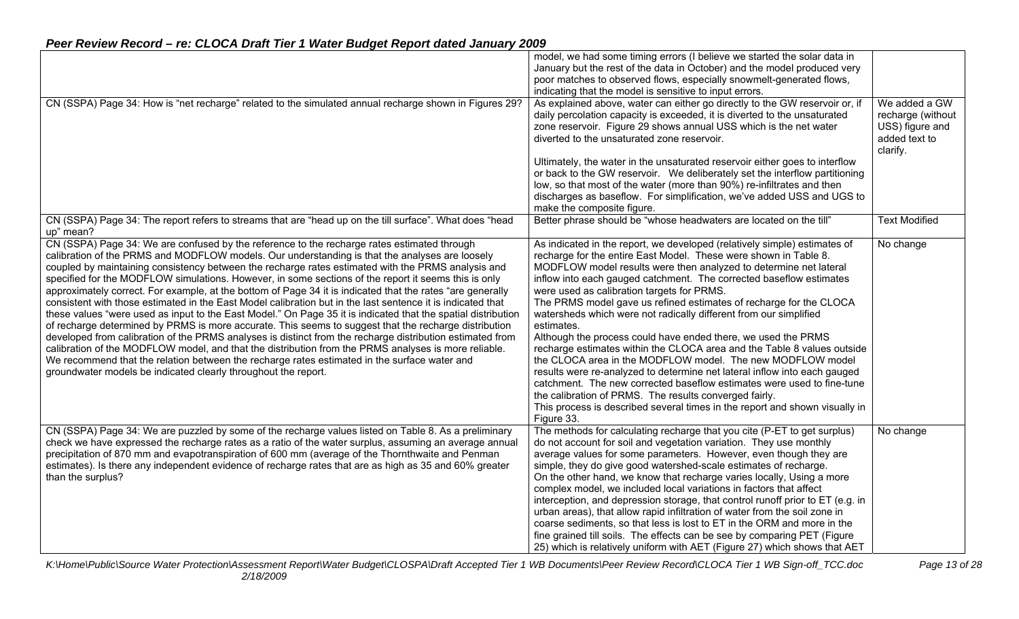|                                                                                                                                                                                                                                                                                                                                                                                                                                                                                                                                                                                                                                                                                                                                                                                                                                                                                                                                                                                                                                                                                                                                                                                                                                                           | model, we had some timing errors (I believe we started the solar data in<br>January but the rest of the data in October) and the model produced very<br>poor matches to observed flows, especially snowmelt-generated flows,<br>indicating that the model is sensitive to input errors.                                                                                                                                                                                                                                                                                                                                                                                                                                                                                                                                                                                                                                                                                                                                  |                                                                                    |
|-----------------------------------------------------------------------------------------------------------------------------------------------------------------------------------------------------------------------------------------------------------------------------------------------------------------------------------------------------------------------------------------------------------------------------------------------------------------------------------------------------------------------------------------------------------------------------------------------------------------------------------------------------------------------------------------------------------------------------------------------------------------------------------------------------------------------------------------------------------------------------------------------------------------------------------------------------------------------------------------------------------------------------------------------------------------------------------------------------------------------------------------------------------------------------------------------------------------------------------------------------------|--------------------------------------------------------------------------------------------------------------------------------------------------------------------------------------------------------------------------------------------------------------------------------------------------------------------------------------------------------------------------------------------------------------------------------------------------------------------------------------------------------------------------------------------------------------------------------------------------------------------------------------------------------------------------------------------------------------------------------------------------------------------------------------------------------------------------------------------------------------------------------------------------------------------------------------------------------------------------------------------------------------------------|------------------------------------------------------------------------------------|
| CN (SSPA) Page 34: How is "net recharge" related to the simulated annual recharge shown in Figures 29?                                                                                                                                                                                                                                                                                                                                                                                                                                                                                                                                                                                                                                                                                                                                                                                                                                                                                                                                                                                                                                                                                                                                                    | As explained above, water can either go directly to the GW reservoir or, if<br>daily percolation capacity is exceeded, it is diverted to the unsaturated<br>zone reservoir. Figure 29 shows annual USS which is the net water<br>diverted to the unsaturated zone reservoir.                                                                                                                                                                                                                                                                                                                                                                                                                                                                                                                                                                                                                                                                                                                                             | We added a GW<br>recharge (without<br>USS) figure and<br>added text to<br>clarify. |
|                                                                                                                                                                                                                                                                                                                                                                                                                                                                                                                                                                                                                                                                                                                                                                                                                                                                                                                                                                                                                                                                                                                                                                                                                                                           | Ultimately, the water in the unsaturated reservoir either goes to interflow<br>or back to the GW reservoir. We deliberately set the interflow partitioning<br>low, so that most of the water (more than 90%) re-infiltrates and then<br>discharges as baseflow. For simplification, we've added USS and UGS to<br>make the composite figure.                                                                                                                                                                                                                                                                                                                                                                                                                                                                                                                                                                                                                                                                             |                                                                                    |
| CN (SSPA) Page 34: The report refers to streams that are "head up on the till surface". What does "head<br>up" mean?                                                                                                                                                                                                                                                                                                                                                                                                                                                                                                                                                                                                                                                                                                                                                                                                                                                                                                                                                                                                                                                                                                                                      | Better phrase should be "whose headwaters are located on the till"                                                                                                                                                                                                                                                                                                                                                                                                                                                                                                                                                                                                                                                                                                                                                                                                                                                                                                                                                       | <b>Text Modified</b>                                                               |
| CN (SSPA) Page 34: We are confused by the reference to the recharge rates estimated through<br>calibration of the PRMS and MODFLOW models. Our understanding is that the analyses are loosely<br>coupled by maintaining consistency between the recharge rates estimated with the PRMS analysis and<br>specified for the MODFLOW simulations. However, in some sections of the report it seems this is only<br>approximately correct. For example, at the bottom of Page 34 it is indicated that the rates "are generally<br>consistent with those estimated in the East Model calibration but in the last sentence it is indicated that<br>these values "were used as input to the East Model." On Page 35 it is indicated that the spatial distribution<br>of recharge determined by PRMS is more accurate. This seems to suggest that the recharge distribution<br>developed from calibration of the PRMS analyses is distinct from the recharge distribution estimated from<br>calibration of the MODFLOW model, and that the distribution from the PRMS analyses is more reliable.<br>We recommend that the relation between the recharge rates estimated in the surface water and<br>groundwater models be indicated clearly throughout the report. | As indicated in the report, we developed (relatively simple) estimates of<br>recharge for the entire East Model. These were shown in Table 8.<br>MODFLOW model results were then analyzed to determine net lateral<br>inflow into each gauged catchment. The corrected baseflow estimates<br>were used as calibration targets for PRMS.<br>The PRMS model gave us refined estimates of recharge for the CLOCA<br>watersheds which were not radically different from our simplified<br>estimates.<br>Although the process could have ended there, we used the PRMS<br>recharge estimates within the CLOCA area and the Table 8 values outside<br>the CLOCA area in the MODFLOW model. The new MODFLOW model<br>results were re-analyzed to determine net lateral inflow into each gauged<br>catchment. The new corrected baseflow estimates were used to fine-tune<br>the calibration of PRMS. The results converged fairly.<br>This process is described several times in the report and shown visually in<br>Figure 33. | No change                                                                          |
| CN (SSPA) Page 34: We are puzzled by some of the recharge values listed on Table 8. As a preliminary<br>check we have expressed the recharge rates as a ratio of the water surplus, assuming an average annual<br>precipitation of 870 mm and evapotranspiration of 600 mm (average of the Thornthwaite and Penman<br>estimates). Is there any independent evidence of recharge rates that are as high as 35 and 60% greater<br>than the surplus?                                                                                                                                                                                                                                                                                                                                                                                                                                                                                                                                                                                                                                                                                                                                                                                                         | The methods for calculating recharge that you cite (P-ET to get surplus)<br>do not account for soil and vegetation variation. They use monthly<br>average values for some parameters. However, even though they are<br>simple, they do give good watershed-scale estimates of recharge.<br>On the other hand, we know that recharge varies locally, Using a more<br>complex model, we included local variations in factors that affect<br>interception, and depression storage, that control runoff prior to ET (e.g. in<br>urban areas), that allow rapid infiltration of water from the soil zone in<br>coarse sediments, so that less is lost to ET in the ORM and more in the<br>fine grained till soils. The effects can be see by comparing PET (Figure<br>25) which is relatively uniform with AET (Figure 27) which shows that AET                                                                                                                                                                               | No change                                                                          |

*K:\Home\Public\Source Water Protection\Assessment Report\Water Budget\CLOSPA\Draft Accepted Tier 1 WB Documents\Peer Review Record\CLOCA Tier 1 WB Sign-off\_TCC.doc Page 13 of 28 2/18/2009*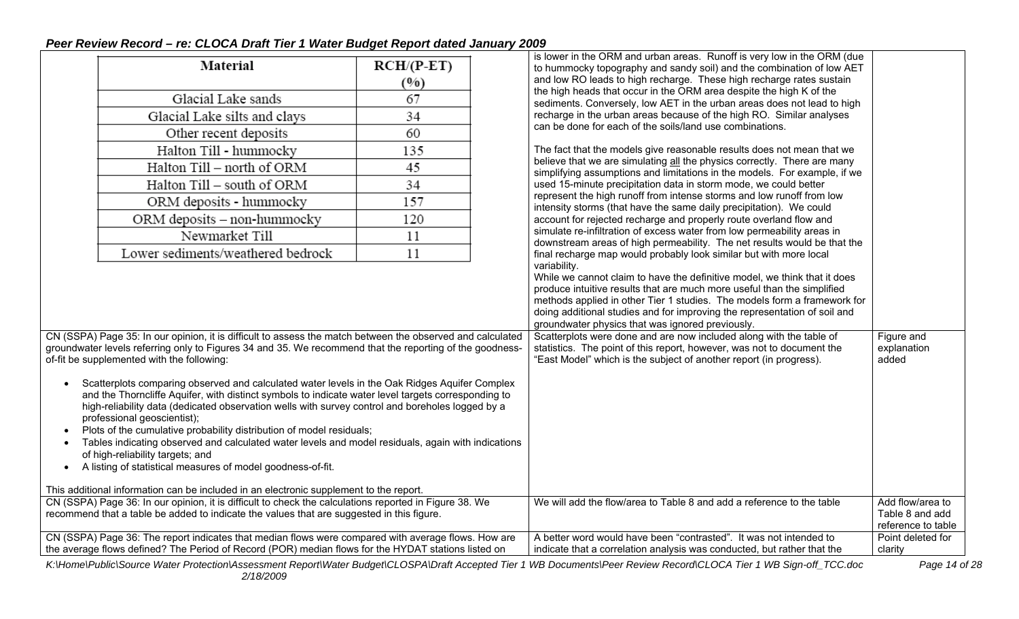|                                                                                                                                                                                                                                                                                                                                                                                                                                                                                                                                                                                                                                       |              | is lower in the ORM and urban areas. Runoff is very low in the ORM (due                                                                                             |                                                           |
|---------------------------------------------------------------------------------------------------------------------------------------------------------------------------------------------------------------------------------------------------------------------------------------------------------------------------------------------------------------------------------------------------------------------------------------------------------------------------------------------------------------------------------------------------------------------------------------------------------------------------------------|--------------|---------------------------------------------------------------------------------------------------------------------------------------------------------------------|-----------------------------------------------------------|
| Material                                                                                                                                                                                                                                                                                                                                                                                                                                                                                                                                                                                                                              | $RCH/(P-ET)$ | to hummocky topography and sandy soil) and the combination of low AET                                                                                               |                                                           |
|                                                                                                                                                                                                                                                                                                                                                                                                                                                                                                                                                                                                                                       | (%)          | and low RO leads to high recharge. These high recharge rates sustain                                                                                                |                                                           |
| Glacial Lake sands                                                                                                                                                                                                                                                                                                                                                                                                                                                                                                                                                                                                                    | 67           | the high heads that occur in the ORM area despite the high K of the<br>sediments. Conversely, low AET in the urban areas does not lead to high                      |                                                           |
| Glacial Lake silts and clays                                                                                                                                                                                                                                                                                                                                                                                                                                                                                                                                                                                                          | 34           | recharge in the urban areas because of the high RO. Similar analyses                                                                                                |                                                           |
| Other recent deposits                                                                                                                                                                                                                                                                                                                                                                                                                                                                                                                                                                                                                 | 60           | can be done for each of the soils/land use combinations.                                                                                                            |                                                           |
| Halton Till - hummocky                                                                                                                                                                                                                                                                                                                                                                                                                                                                                                                                                                                                                | 135          | The fact that the models give reasonable results does not mean that we                                                                                              |                                                           |
| Halton Till - north of ORM                                                                                                                                                                                                                                                                                                                                                                                                                                                                                                                                                                                                            | 45           | believe that we are simulating all the physics correctly. There are many<br>simplifying assumptions and limitations in the models. For example, if we               |                                                           |
| Halton Till – south of ORM                                                                                                                                                                                                                                                                                                                                                                                                                                                                                                                                                                                                            | 34           | used 15-minute precipitation data in storm mode, we could better                                                                                                    |                                                           |
| ORM deposits - hummocky                                                                                                                                                                                                                                                                                                                                                                                                                                                                                                                                                                                                               | 157          | represent the high runoff from intense storms and low runoff from low<br>intensity storms (that have the same daily precipitation). We could                        |                                                           |
| ORM deposits - non-hummocky                                                                                                                                                                                                                                                                                                                                                                                                                                                                                                                                                                                                           | 120          | account for rejected recharge and properly route overland flow and                                                                                                  |                                                           |
| Newmarket Till                                                                                                                                                                                                                                                                                                                                                                                                                                                                                                                                                                                                                        | 11           | simulate re-infiltration of excess water from low permeability areas in<br>downstream areas of high permeability. The net results would be that the                 |                                                           |
| Lower sediments/weathered bedrock                                                                                                                                                                                                                                                                                                                                                                                                                                                                                                                                                                                                     | 11           | final recharge map would probably look similar but with more local                                                                                                  |                                                           |
|                                                                                                                                                                                                                                                                                                                                                                                                                                                                                                                                                                                                                                       |              | variability.<br>While we cannot claim to have the definitive model, we think that it does                                                                           |                                                           |
|                                                                                                                                                                                                                                                                                                                                                                                                                                                                                                                                                                                                                                       |              | produce intuitive results that are much more useful than the simplified                                                                                             |                                                           |
|                                                                                                                                                                                                                                                                                                                                                                                                                                                                                                                                                                                                                                       |              | methods applied in other Tier 1 studies. The models form a framework for                                                                                            |                                                           |
|                                                                                                                                                                                                                                                                                                                                                                                                                                                                                                                                                                                                                                       |              | doing additional studies and for improving the representation of soil and<br>groundwater physics that was ignored previously.                                       |                                                           |
| CN (SSPA) Page 35: In our opinion, it is difficult to assess the match between the observed and calculated                                                                                                                                                                                                                                                                                                                                                                                                                                                                                                                            |              | Scatterplots were done and are now included along with the table of                                                                                                 | Figure and                                                |
| groundwater levels referring only to Figures 34 and 35. We recommend that the reporting of the goodness-                                                                                                                                                                                                                                                                                                                                                                                                                                                                                                                              |              | statistics. The point of this report, however, was not to document the                                                                                              | explanation                                               |
| of-fit be supplemented with the following:                                                                                                                                                                                                                                                                                                                                                                                                                                                                                                                                                                                            |              | "East Model" which is the subject of another report (in progress).                                                                                                  | added                                                     |
| Scatterplots comparing observed and calculated water levels in the Oak Ridges Aquifer Complex<br>and the Thorncliffe Aquifer, with distinct symbols to indicate water level targets corresponding to<br>high-reliability data (dedicated observation wells with survey control and boreholes logged by a<br>professional geoscientist);<br>Plots of the cumulative probability distribution of model residuals;<br>Tables indicating observed and calculated water levels and model residuals, again with indications<br>of high-reliability targets; and<br>A listing of statistical measures of model goodness-of-fit.<br>$\bullet$ |              |                                                                                                                                                                     |                                                           |
| This additional information can be included in an electronic supplement to the report.                                                                                                                                                                                                                                                                                                                                                                                                                                                                                                                                                |              |                                                                                                                                                                     |                                                           |
| CN (SSPA) Page 36: In our opinion, it is difficult to check the calculations reported in Figure 38. We<br>recommend that a table be added to indicate the values that are suggested in this figure.                                                                                                                                                                                                                                                                                                                                                                                                                                   |              | We will add the flow/area to Table 8 and add a reference to the table                                                                                               | Add flow/area to<br>Table 8 and add<br>reference to table |
| CN (SSPA) Page 36: The report indicates that median flows were compared with average flows. How are<br>the average flows defined? The Period of Record (POR) median flows for the HYDAT stations listed on                                                                                                                                                                                                                                                                                                                                                                                                                            |              | A better word would have been "contrasted". It was not intended to<br>indicate that a correlation analysis was conducted, but rather that the                       | Point deleted for<br>clarity                              |
|                                                                                                                                                                                                                                                                                                                                                                                                                                                                                                                                                                                                                                       |              | K:\Home\Public\Source Water Protection\Assessment Report\Water Budget\CLOSPA\Draft Accepted Tier 1 WB Documents\Peer Review Record\CLOCA Tier 1 WB Sign-off_TCC.doc | Page 14 of 28                                             |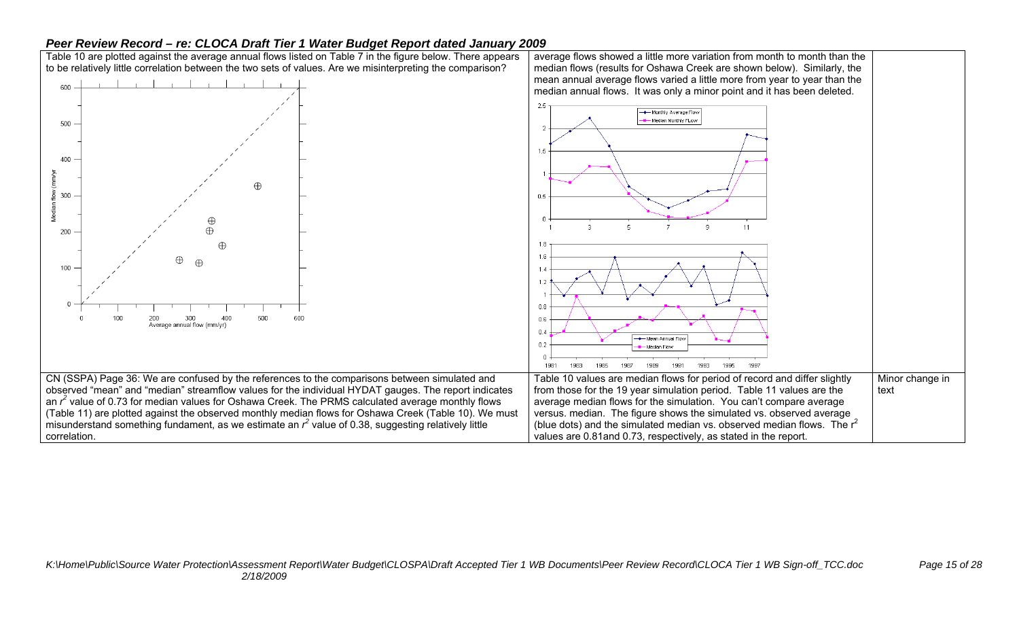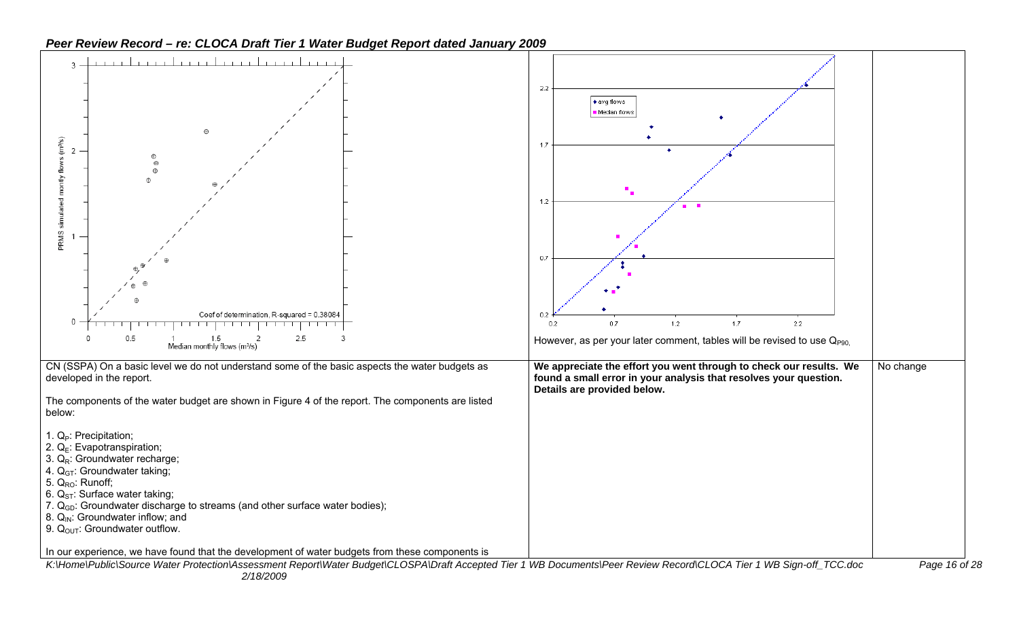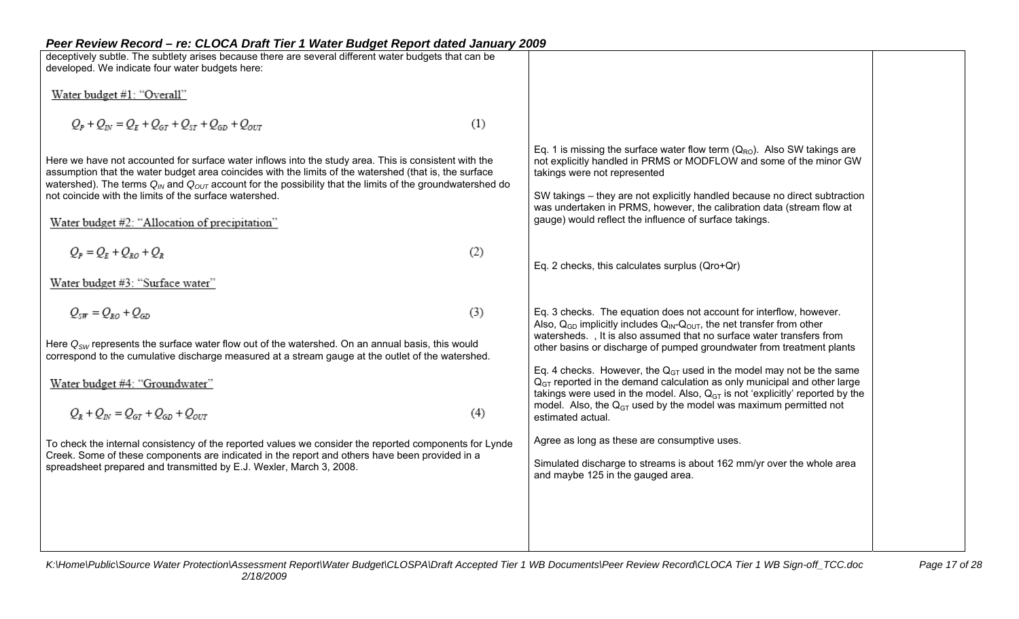| Peer Review Record – re: CLOCA Draft Tier 1 Water Budget Report dated January 2009                                                                                                                                                                                                                                                                                                                                                                              |     |                                                                                                                                                                                                                                                                                                                                                                                                      |  |
|-----------------------------------------------------------------------------------------------------------------------------------------------------------------------------------------------------------------------------------------------------------------------------------------------------------------------------------------------------------------------------------------------------------------------------------------------------------------|-----|------------------------------------------------------------------------------------------------------------------------------------------------------------------------------------------------------------------------------------------------------------------------------------------------------------------------------------------------------------------------------------------------------|--|
| deceptively subtle. The subtlety arises because there are several different water budgets that can be                                                                                                                                                                                                                                                                                                                                                           |     |                                                                                                                                                                                                                                                                                                                                                                                                      |  |
| developed. We indicate four water budgets here:                                                                                                                                                                                                                                                                                                                                                                                                                 |     |                                                                                                                                                                                                                                                                                                                                                                                                      |  |
| Water budget #1: "Overall"                                                                                                                                                                                                                                                                                                                                                                                                                                      |     |                                                                                                                                                                                                                                                                                                                                                                                                      |  |
|                                                                                                                                                                                                                                                                                                                                                                                                                                                                 |     |                                                                                                                                                                                                                                                                                                                                                                                                      |  |
| $Q_p + Q_{1N} = Q_E + Q_{GT} + Q_{ST} + Q_{GD} + Q_{OUT}$                                                                                                                                                                                                                                                                                                                                                                                                       | (1) |                                                                                                                                                                                                                                                                                                                                                                                                      |  |
| Here we have not accounted for surface water inflows into the study area. This is consistent with the<br>assumption that the water budget area coincides with the limits of the watershed (that is, the surface<br>watershed). The terms $Q_{\text{IN}}$ and $Q_{\text{OUT}}$ account for the possibility that the limits of the groundwatershed do<br>not coincide with the limits of the surface watershed.<br>Water budget #2: "Allocation of precipitation" |     | Eq. 1 is missing the surface water flow term $(Q_{RO})$ . Also SW takings are<br>not explicitly handled in PRMS or MODFLOW and some of the minor GW<br>takings were not represented<br>SW takings – they are not explicitly handled because no direct subtraction<br>was undertaken in PRMS, however, the calibration data (stream flow at<br>gauge) would reflect the influence of surface takings. |  |
| $Q_p = Q_p + Q_{pQ} + Q_p$                                                                                                                                                                                                                                                                                                                                                                                                                                      |     |                                                                                                                                                                                                                                                                                                                                                                                                      |  |
|                                                                                                                                                                                                                                                                                                                                                                                                                                                                 | (2) | Eq. 2 checks, this calculates surplus (Qro+Qr)                                                                                                                                                                                                                                                                                                                                                       |  |
| Water budget #3: "Surface water"                                                                                                                                                                                                                                                                                                                                                                                                                                |     |                                                                                                                                                                                                                                                                                                                                                                                                      |  |
|                                                                                                                                                                                                                                                                                                                                                                                                                                                                 |     |                                                                                                                                                                                                                                                                                                                                                                                                      |  |
| $Q_{\text{SIF}} = Q_{RO} + Q_{GD}$                                                                                                                                                                                                                                                                                                                                                                                                                              | (3) | Eq. 3 checks. The equation does not account for interflow, however.                                                                                                                                                                                                                                                                                                                                  |  |
| Here $Q_{SW}$ represents the surface water flow out of the watershed. On an annual basis, this would<br>correspond to the cumulative discharge measured at a stream gauge at the outlet of the watershed.                                                                                                                                                                                                                                                       |     | Also, $Q_{GD}$ implicitly includes $Q_{IN}$ - $Q_{OUT}$ , the net transfer from other<br>watersheds., It is also assumed that no surface water transfers from<br>other basins or discharge of pumped groundwater from treatment plants                                                                                                                                                               |  |
|                                                                                                                                                                                                                                                                                                                                                                                                                                                                 |     | Eq. 4 checks. However, the $Q_{GT}$ used in the model may not be the same                                                                                                                                                                                                                                                                                                                            |  |
| Water budget #4: "Groundwater"                                                                                                                                                                                                                                                                                                                                                                                                                                  |     | $QGT$ reported in the demand calculation as only municipal and other large<br>takings were used in the model. Also, $Q_{GT}$ is not 'explicitly' reported by the                                                                                                                                                                                                                                     |  |
| $Q_R + Q_{IN} = Q_{GT} + Q_{GD} + Q_{OUT}$                                                                                                                                                                                                                                                                                                                                                                                                                      | (4) | model. Also, the $Q_{GT}$ used by the model was maximum permitted not<br>estimated actual.                                                                                                                                                                                                                                                                                                           |  |
| To check the internal consistency of the reported values we consider the reported components for Lynde                                                                                                                                                                                                                                                                                                                                                          |     | Agree as long as these are consumptive uses.                                                                                                                                                                                                                                                                                                                                                         |  |
| Creek. Some of these components are indicated in the report and others have been provided in a                                                                                                                                                                                                                                                                                                                                                                  |     |                                                                                                                                                                                                                                                                                                                                                                                                      |  |
| spreadsheet prepared and transmitted by E.J. Wexler, March 3, 2008.                                                                                                                                                                                                                                                                                                                                                                                             |     | Simulated discharge to streams is about 162 mm/yr over the whole area<br>and maybe 125 in the gauged area.                                                                                                                                                                                                                                                                                           |  |
|                                                                                                                                                                                                                                                                                                                                                                                                                                                                 |     |                                                                                                                                                                                                                                                                                                                                                                                                      |  |
|                                                                                                                                                                                                                                                                                                                                                                                                                                                                 |     |                                                                                                                                                                                                                                                                                                                                                                                                      |  |
|                                                                                                                                                                                                                                                                                                                                                                                                                                                                 |     |                                                                                                                                                                                                                                                                                                                                                                                                      |  |
|                                                                                                                                                                                                                                                                                                                                                                                                                                                                 |     |                                                                                                                                                                                                                                                                                                                                                                                                      |  |
|                                                                                                                                                                                                                                                                                                                                                                                                                                                                 |     |                                                                                                                                                                                                                                                                                                                                                                                                      |  |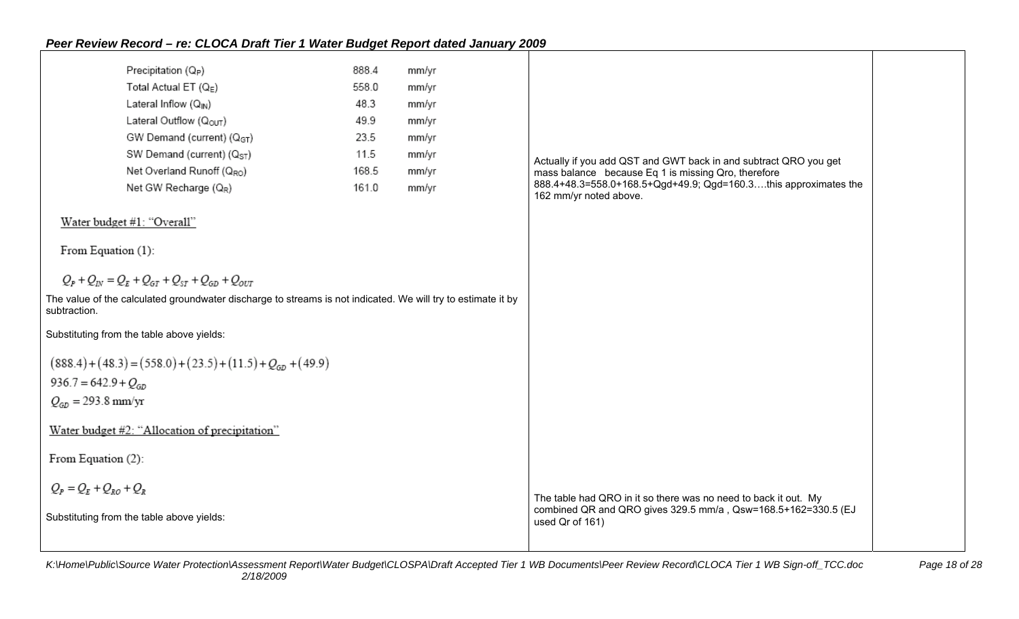|                           | Precipitation (Q <sub>P</sub> )                                                                              | 888.4 | mm/yr |                                                                                                                                                     |  |
|---------------------------|--------------------------------------------------------------------------------------------------------------|-------|-------|-----------------------------------------------------------------------------------------------------------------------------------------------------|--|
|                           | Total Actual ET $(Q_E)$                                                                                      | 558.0 | mm/yr |                                                                                                                                                     |  |
|                           | Lateral Inflow $(Q_{\text{IN}})$                                                                             | 48.3  | mm/yr |                                                                                                                                                     |  |
|                           | Lateral Outflow (Q <sub>OUT</sub> )                                                                          | 49.9  | mm/yr |                                                                                                                                                     |  |
|                           | GW Demand (current) (QGT)                                                                                    | 23.5  | mm/yr |                                                                                                                                                     |  |
|                           | SW Demand (current) (Q <sub>ST</sub> )                                                                       | 11.5  | mm/yr | Actually if you add QST and GWT back in and subtract QRO you get                                                                                    |  |
|                           | Net Overland Runoff (QRO)                                                                                    | 168.5 | mm/yr | mass balance because Eq 1 is missing Qro, therefore                                                                                                 |  |
|                           | Net GW Recharge (QR)                                                                                         | 161.0 | mm/yr | 888.4+48.3=558.0+168.5+Qgd+49.9; Qgd=160.3this approximates the<br>162 mm/yr noted above.                                                           |  |
|                           | Water budget #1: "Overall"                                                                                   |       |       |                                                                                                                                                     |  |
| From Equation (1):        |                                                                                                              |       |       |                                                                                                                                                     |  |
|                           | $Q_p + Q_{1N} = Q_E + Q_{GT} + Q_{ST} + Q_{GD} + Q_{OIT}$                                                    |       |       |                                                                                                                                                     |  |
| subtraction.              | The value of the calculated groundwater discharge to streams is not indicated. We will try to estimate it by |       |       |                                                                                                                                                     |  |
|                           | Substituting from the table above yields:                                                                    |       |       |                                                                                                                                                     |  |
|                           | $(888.4) + (48.3) = (558.0) + (23.5) + (11.5) + QGD + (49.9)$                                                |       |       |                                                                                                                                                     |  |
| $936.7 = 642.9 + QGD$     |                                                                                                              |       |       |                                                                                                                                                     |  |
| $Q_{GD} = 293.8$ mm/yr    |                                                                                                              |       |       |                                                                                                                                                     |  |
|                           | Water budget #2: "Allocation of precipitation"                                                               |       |       |                                                                                                                                                     |  |
| From Equation (2):        |                                                                                                              |       |       |                                                                                                                                                     |  |
| $Q_p = Q_r + Q_{p} + Q_p$ |                                                                                                              |       |       |                                                                                                                                                     |  |
|                           | Substituting from the table above yields:                                                                    |       |       | The table had QRO in it so there was no need to back it out. My<br>combined QR and QRO gives 329.5 mm/a, Qsw=168.5+162=330.5 (EJ<br>used Qr of 161) |  |
|                           |                                                                                                              |       |       |                                                                                                                                                     |  |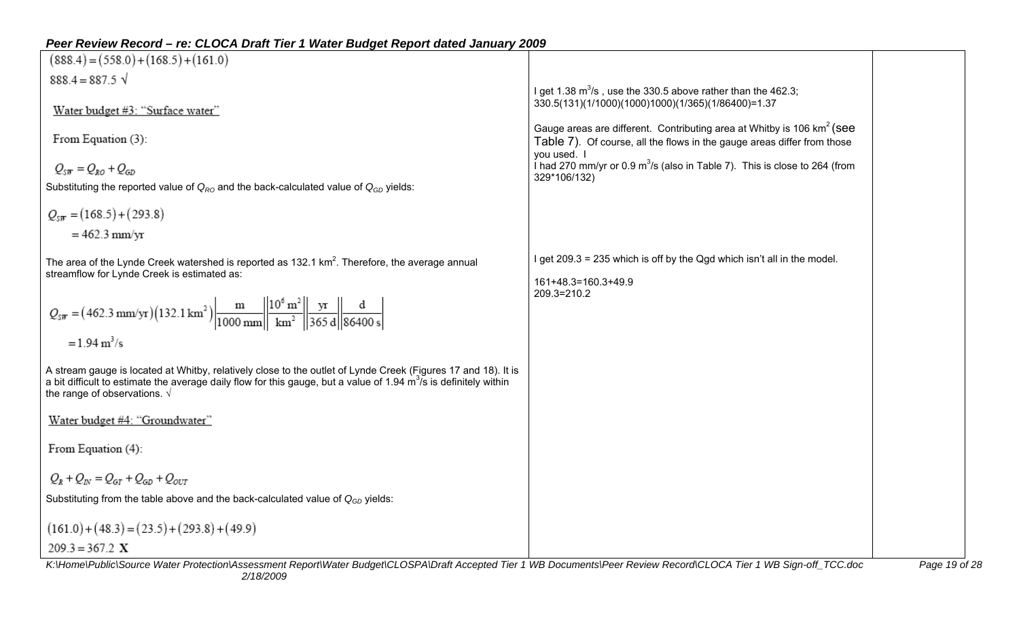| $(888.4) = (558.0) + (168.5) + (161.0)$                                                                                                                                                                                                                                                                                                                         |                                                                                                                                                      |               |
|-----------------------------------------------------------------------------------------------------------------------------------------------------------------------------------------------------------------------------------------------------------------------------------------------------------------------------------------------------------------|------------------------------------------------------------------------------------------------------------------------------------------------------|---------------|
| $888.4 = 887.5 \sqrt{ }$                                                                                                                                                                                                                                                                                                                                        |                                                                                                                                                      |               |
| Water budget #3: "Surface water"                                                                                                                                                                                                                                                                                                                                | I get 1.38 $m^3$ /s, use the 330.5 above rather than the 462.3;<br>330.5(131)(1/1000)(1000)1000)(1/365)(1/86400)=1.37                                |               |
| From Equation (3):                                                                                                                                                                                                                                                                                                                                              | Gauge areas are different. Contributing area at Whitby is 106 $km^2$ (see<br>Table 7). Of course, all the flows in the gauge areas differ from those |               |
| $Q_{\text{SIF}} = Q_{\text{RO}} + Q_{\text{GD}}$                                                                                                                                                                                                                                                                                                                | you used. I<br>I had 270 mm/yr or 0.9 $m^3$ /s (also in Table 7). This is close to 264 (from<br>329*106/132)                                         |               |
| Substituting the reported value of $Q_{RO}$ and the back-calculated value of $Q_{GD}$ yields:                                                                                                                                                                                                                                                                   |                                                                                                                                                      |               |
| $Q_{ST} = (168.5) + (293.8)$                                                                                                                                                                                                                                                                                                                                    |                                                                                                                                                      |               |
| $= 462.3$ mm/yr                                                                                                                                                                                                                                                                                                                                                 |                                                                                                                                                      |               |
| The area of the Lynde Creek watershed is reported as 132.1 km <sup>2</sup> . Therefore, the average annual<br>streamflow for Lynde Creek is estimated as:<br>$Q_{\text{SIF}} = (462.3 \text{ mm/yr})(132.1 \text{ km}^2) \frac{\text{m}}{1000 \text{ mm}} \frac{10^6 \text{ m}^2}{\text{km}^2} \frac{\text{yr}}{365 \text{ d}} \frac{\text{d}}{\text{86400 s}}$ | I get 209.3 = 235 which is off by the Qgd which isn't all in the model.<br>161+48.3=160.3+49.9<br>209.3=210.2                                        |               |
| $= 1.94 \text{ m}^3/\text{s}$                                                                                                                                                                                                                                                                                                                                   |                                                                                                                                                      |               |
| A stream gauge is located at Whitby, relatively close to the outlet of Lynde Creek (Figures 17 and 18). It is<br>a bit difficult to estimate the average daily flow for this gauge, but a value of 1.94 $\text{m}^3$ /s is definitely within<br>the range of observations. $\sqrt{ }$                                                                           |                                                                                                                                                      |               |
| Water budget #4: "Groundwater"                                                                                                                                                                                                                                                                                                                                  |                                                                                                                                                      |               |
| From Equation (4):                                                                                                                                                                                                                                                                                                                                              |                                                                                                                                                      |               |
| $Q_{R} + Q_{IV} = Q_{GT} + Q_{GD} + Q_{OUT}$                                                                                                                                                                                                                                                                                                                    |                                                                                                                                                      |               |
| Substituting from the table above and the back-calculated value of $Q_{GD}$ yields:                                                                                                                                                                                                                                                                             |                                                                                                                                                      |               |
| $(161.0) + (48.3) = (23.5) + (293.8) + (49.9)$                                                                                                                                                                                                                                                                                                                  |                                                                                                                                                      |               |
| $209.3 = 367.2$ X                                                                                                                                                                                                                                                                                                                                               |                                                                                                                                                      |               |
| K:\Home\Public\Source Water Protection\Assessment Report\Water Budget\CLOSPA\Draft Accepted Tier 1 WB Documents\Peer Review Record\CLOCA Tier 1 WB Sign-off_TCC.doc                                                                                                                                                                                             |                                                                                                                                                      | Page 19 of 28 |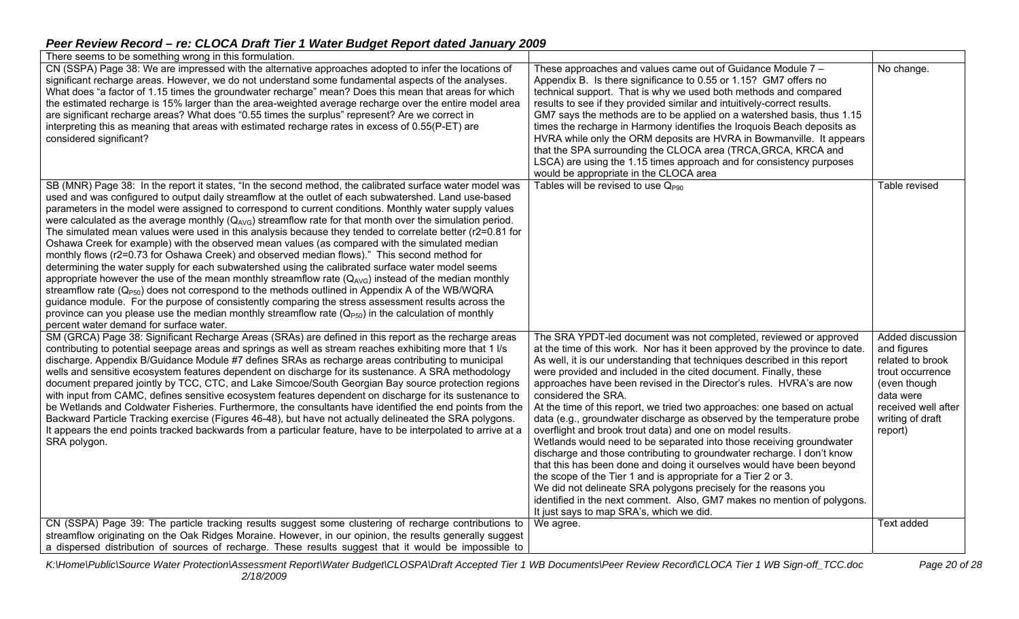| There seems to be something wrong in this formulation.                                                                                                                                                                                                                                                                                                                                                                                                                                                                                                                                                                                                                                                                                                                                                                                                                                                                                                                                                                                                                                                                                                                                                                                  |                                                                                                                                                                                                                                                                                                                                                                                                                                                                                                                                                                                                                                                                                                                                                                                                                                                                                                                                                                                                                                                                                                            |                                                                                                                                                            |
|-----------------------------------------------------------------------------------------------------------------------------------------------------------------------------------------------------------------------------------------------------------------------------------------------------------------------------------------------------------------------------------------------------------------------------------------------------------------------------------------------------------------------------------------------------------------------------------------------------------------------------------------------------------------------------------------------------------------------------------------------------------------------------------------------------------------------------------------------------------------------------------------------------------------------------------------------------------------------------------------------------------------------------------------------------------------------------------------------------------------------------------------------------------------------------------------------------------------------------------------|------------------------------------------------------------------------------------------------------------------------------------------------------------------------------------------------------------------------------------------------------------------------------------------------------------------------------------------------------------------------------------------------------------------------------------------------------------------------------------------------------------------------------------------------------------------------------------------------------------------------------------------------------------------------------------------------------------------------------------------------------------------------------------------------------------------------------------------------------------------------------------------------------------------------------------------------------------------------------------------------------------------------------------------------------------------------------------------------------------|------------------------------------------------------------------------------------------------------------------------------------------------------------|
| CN (SSPA) Page 38: We are impressed with the alternative approaches adopted to infer the locations of<br>significant recharge areas. However, we do not understand some fundamental aspects of the analyses.<br>What does "a factor of 1.15 times the groundwater recharge" mean? Does this mean that areas for which<br>the estimated recharge is 15% larger than the area-weighted average recharge over the entire model area<br>are significant recharge areas? What does "0.55 times the surplus" represent? Are we correct in<br>interpreting this as meaning that areas with estimated recharge rates in excess of 0.55(P-ET) are<br>considered significant?<br>SB (MNR) Page 38: In the report it states, "In the second method, the calibrated surface water model was                                                                                                                                                                                                                                                                                                                                                                                                                                                         | These approaches and values came out of Guidance Module 7 -<br>Appendix B. Is there significance to 0.55 or 1.15? GM7 offers no<br>technical support. That is why we used both methods and compared<br>results to see if they provided similar and intuitively-correct results.<br>GM7 says the methods are to be applied on a watershed basis, thus 1.15<br>times the recharge in Harmony identifies the Iroquois Beach deposits as<br>HVRA while only the ORM deposits are HVRA in Bowmanville. It appears<br>that the SPA surrounding the CLOCA area (TRCA, GRCA, KRCA and<br>LSCA) are using the 1.15 times approach and for consistency purposes<br>would be appropriate in the CLOCA area<br>Tables will be revised to use $Q_{P90}$                                                                                                                                                                                                                                                                                                                                                                 | No change.<br>Table revised                                                                                                                                |
| used and was configured to output daily streamflow at the outlet of each subwatershed. Land use-based<br>parameters in the model were assigned to correspond to current conditions. Monthly water supply values<br>were calculated as the average monthly $(Q_{AVG})$ streamflow rate for that month over the simulation period.<br>The simulated mean values were used in this analysis because they tended to correlate better (r2=0.81 for<br>Oshawa Creek for example) with the observed mean values (as compared with the simulated median<br>monthly flows (r2=0.73 for Oshawa Creek) and observed median flows)." This second method for<br>determining the water supply for each subwatershed using the calibrated surface water model seems<br>appropriate however the use of the mean monthly streamflow rate $(Q_{AVG})$ instead of the median monthly<br>streamflow rate $(Q_{PS0})$ does not correspond to the methods outlined in Appendix A of the WB/WQRA<br>guidance module. For the purpose of consistently comparing the stress assessment results across the<br>province can you please use the median monthly streamflow rate $(Q_{PS0})$ in the calculation of monthly<br>percent water demand for surface water. |                                                                                                                                                                                                                                                                                                                                                                                                                                                                                                                                                                                                                                                                                                                                                                                                                                                                                                                                                                                                                                                                                                            |                                                                                                                                                            |
| SM (GRCA) Page 38: Significant Recharge Areas (SRAs) are defined in this report as the recharge areas<br>contributing to potential seepage areas and springs as well as stream reaches exhibiting more that 1 l/s<br>discharge. Appendix B/Guidance Module #7 defines SRAs as recharge areas contributing to municipal<br>wells and sensitive ecosystem features dependent on discharge for its sustenance. A SRA methodology<br>document prepared jointly by TCC, CTC, and Lake Simcoe/South Georgian Bay source protection regions<br>with input from CAMC, defines sensitive ecosystem features dependent on discharge for its sustenance to<br>be Wetlands and Coldwater Fisheries. Furthermore, the consultants have identified the end points from the<br>Backward Particle Tracking exercise (Figures 46-48), but have not actually delineated the SRA polygons.<br>It appears the end points tracked backwards from a particular feature, have to be interpolated to arrive at a<br>SRA polygon.                                                                                                                                                                                                                                | The SRA YPDT-led document was not completed, reviewed or approved<br>at the time of this work. Nor has it been approved by the province to date.<br>As well, it is our understanding that techniques described in this report<br>were provided and included in the cited document. Finally, these<br>approaches have been revised in the Director's rules. HVRA's are now<br>considered the SRA.<br>At the time of this report, we tried two approaches: one based on actual<br>data (e.g., groundwater discharge as observed by the temperature probe<br>overflight and brook trout data) and one on model results.<br>Wetlands would need to be separated into those receiving groundwater<br>discharge and those contributing to groundwater recharge. I don't know<br>that this has been done and doing it ourselves would have been beyond<br>the scope of the Tier 1 and is appropriate for a Tier 2 or 3.<br>We did not delineate SRA polygons precisely for the reasons you<br>identified in the next comment. Also, GM7 makes no mention of polygons.<br>It just says to map SRA's, which we did. | Added discussion<br>and figures<br>related to brook<br>trout occurrence<br>(even though<br>data were<br>received well after<br>writing of draft<br>report) |
| CN (SSPA) Page 39: The particle tracking results suggest some clustering of recharge contributions to<br>streamflow originating on the Oak Ridges Moraine. However, in our opinion, the results generally suggest<br>a dispersed distribution of sources of recharge. These results suggest that it would be impossible to                                                                                                                                                                                                                                                                                                                                                                                                                                                                                                                                                                                                                                                                                                                                                                                                                                                                                                              | We agree.                                                                                                                                                                                                                                                                                                                                                                                                                                                                                                                                                                                                                                                                                                                                                                                                                                                                                                                                                                                                                                                                                                  | Text added                                                                                                                                                 |

*K:\Home\Public\Source Water Protection\Assessment Report\Water Budget\CLOSPA\Draft Accepted Tier 1 WB Documents\Peer Review Record\CLOCA Tier 1 WB Sign-off\_TCC.doc Page 20 of 28 2/18/2009*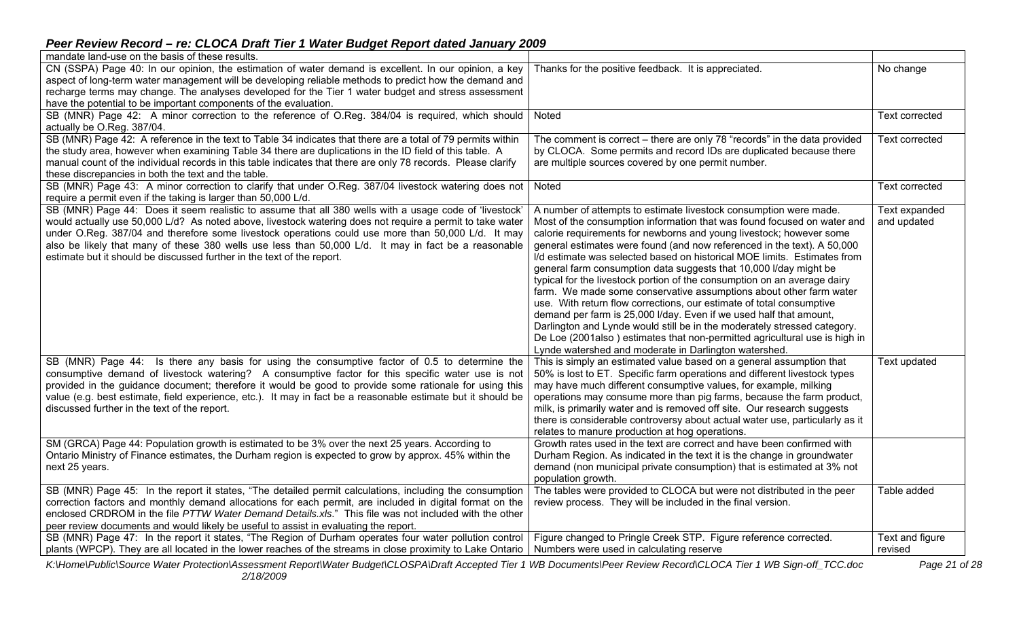| mandate land-use on the basis of these results.                                                               |                                                                              |                       |
|---------------------------------------------------------------------------------------------------------------|------------------------------------------------------------------------------|-----------------------|
| CN (SSPA) Page 40: In our opinion, the estimation of water demand is excellent. In our opinion, a key         | Thanks for the positive feedback. It is appreciated.                         | No change             |
| aspect of long-term water management will be developing reliable methods to predict how the demand and        |                                                                              |                       |
| recharge terms may change. The analyses developed for the Tier 1 water budget and stress assessment           |                                                                              |                       |
| have the potential to be important components of the evaluation.                                              |                                                                              |                       |
| SB (MNR) Page 42: A minor correction to the reference of O.Reg. 384/04 is required, which should              | Noted                                                                        | <b>Text corrected</b> |
| actually be O.Reg. 387/04.                                                                                    |                                                                              |                       |
| SB (MNR) Page 42: A reference in the text to Table 34 indicates that there are a total of 79 permits within   | The comment is correct – there are only 78 "records" in the data provided    | <b>Text corrected</b> |
| the study area, however when examining Table 34 there are duplications in the ID field of this table. A       | by CLOCA. Some permits and record IDs are duplicated because there           |                       |
| manual count of the individual records in this table indicates that there are only 78 records. Please clarify | are multiple sources covered by one permit number.                           |                       |
| these discrepancies in both the text and the table.                                                           |                                                                              |                       |
| SB (MNR) Page 43: A minor correction to clarify that under O.Reg. 387/04 livestock watering does not          | Noted                                                                        | <b>Text corrected</b> |
| require a permit even if the taking is larger than 50,000 L/d.                                                |                                                                              |                       |
| SB (MNR) Page 44: Does it seem realistic to assume that all 380 wells with a usage code of 'livestock'        | A number of attempts to estimate livestock consumption were made.            | <b>Text expanded</b>  |
| would actually use 50,000 L/d? As noted above, livestock watering does not require a permit to take water     | Most of the consumption information that was found focused on water and      | and updated           |
| under O.Reg. 387/04 and therefore some livestock operations could use more than 50,000 L/d. It may            | calorie requirements for newborns and young livestock; however some          |                       |
| also be likely that many of these 380 wells use less than 50,000 L/d. It may in fact be a reasonable          | general estimates were found (and now referenced in the text). A 50,000      |                       |
| estimate but it should be discussed further in the text of the report.                                        | I/d estimate was selected based on historical MOE limits. Estimates from     |                       |
|                                                                                                               | general farm consumption data suggests that 10,000 I/day might be            |                       |
|                                                                                                               | typical for the livestock portion of the consumption on an average dairy     |                       |
|                                                                                                               | farm. We made some conservative assumptions about other farm water           |                       |
|                                                                                                               | use. With return flow corrections, our estimate of total consumptive         |                       |
|                                                                                                               | demand per farm is 25,000 I/day. Even if we used half that amount,           |                       |
|                                                                                                               | Darlington and Lynde would still be in the moderately stressed category.     |                       |
|                                                                                                               | De Loe (2001also) estimates that non-permitted agricultural use is high in   |                       |
|                                                                                                               | Lynde watershed and moderate in Darlington watershed.                        |                       |
| SB (MNR) Page 44: Is there any basis for using the consumptive factor of 0.5 to determine the                 | This is simply an estimated value based on a general assumption that         | Text updated          |
| consumptive demand of livestock watering? A consumptive factor for this specific water use is not             | 50% is lost to ET. Specific farm operations and different livestock types    |                       |
| provided in the guidance document; therefore it would be good to provide some rationale for using this        | may have much different consumptive values, for example, milking             |                       |
| value (e.g. best estimate, field experience, etc.). It may in fact be a reasonable estimate but it should be  | operations may consume more than pig farms, because the farm product,        |                       |
| discussed further in the text of the report.                                                                  | milk, is primarily water and is removed off site. Our research suggests      |                       |
|                                                                                                               | there is considerable controversy about actual water use, particularly as it |                       |
|                                                                                                               | relates to manure production at hog operations.                              |                       |
| SM (GRCA) Page 44: Population growth is estimated to be 3% over the next 25 years. According to               | Growth rates used in the text are correct and have been confirmed with       |                       |
| Ontario Ministry of Finance estimates, the Durham region is expected to grow by approx. 45% within the        | Durham Region. As indicated in the text it is the change in groundwater      |                       |
| next 25 years.                                                                                                | demand (non municipal private consumption) that is estimated at 3% not       |                       |
|                                                                                                               | population growth.                                                           |                       |
| SB (MNR) Page 45: In the report it states, "The detailed permit calculations, including the consumption       | The tables were provided to CLOCA but were not distributed in the peer       | Table added           |
| correction factors and monthly demand allocations for each permit, are included in digital format on the      | review process. They will be included in the final version.                  |                       |
| enclosed CRDROM in the file PTTW Water Demand Details.xls." This file was not included with the other         |                                                                              |                       |
| peer review documents and would likely be useful to assist in evaluating the report.                          |                                                                              |                       |
| SB (MNR) Page 47: In the report it states, "The Region of Durham operates four water pollution control        | Figure changed to Pringle Creek STP. Figure reference corrected.             | Text and figure       |
| plants (WPCP). They are all located in the lower reaches of the streams in close proximity to Lake Ontario    | Numbers were used in calculating reserve                                     | revised               |
|                                                                                                               |                                                                              |                       |

*K:\Home\Public\Source Water Protection\Assessment Report\Water Budget\CLOSPA\Draft Accepted Tier 1 WB Documents\Peer Review Record\CLOCA Tier 1 WB Sign-off\_TCC.doc Page 21 of 28 2/18/2009*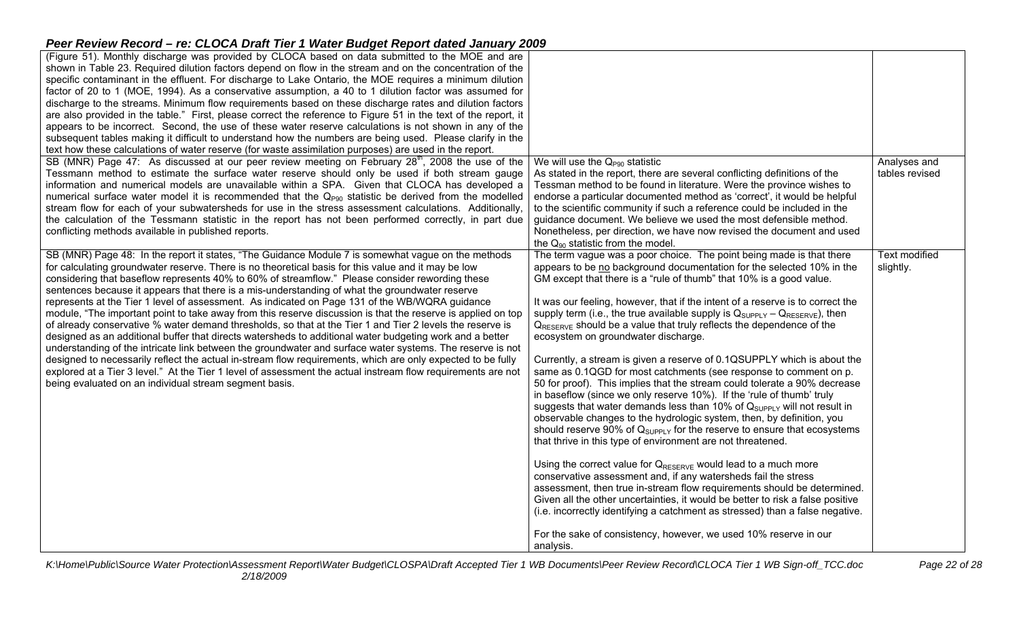| (Figure 51). Monthly discharge was provided by CLOCA based on data submitted to the MOE and are                                                                                                                          |                                                                                    |                      |
|--------------------------------------------------------------------------------------------------------------------------------------------------------------------------------------------------------------------------|------------------------------------------------------------------------------------|----------------------|
| shown in Table 23. Required dilution factors depend on flow in the stream and on the concentration of the                                                                                                                |                                                                                    |                      |
| specific contaminant in the effluent. For discharge to Lake Ontario, the MOE requires a minimum dilution                                                                                                                 |                                                                                    |                      |
| factor of 20 to 1 (MOE, 1994). As a conservative assumption, a 40 to 1 dilution factor was assumed for                                                                                                                   |                                                                                    |                      |
| discharge to the streams. Minimum flow requirements based on these discharge rates and dilution factors                                                                                                                  |                                                                                    |                      |
| are also provided in the table." First, please correct the reference to Figure 51 in the text of the report, it                                                                                                          |                                                                                    |                      |
| appears to be incorrect. Second, the use of these water reserve calculations is not shown in any of the                                                                                                                  |                                                                                    |                      |
| subsequent tables making it difficult to understand how the numbers are being used. Please clarify in the                                                                                                                |                                                                                    |                      |
| text how these calculations of water reserve (for waste assimilation purposes) are used in the report.                                                                                                                   |                                                                                    |                      |
| SB (MNR) Page 47: As discussed at our peer review meeting on February 28 <sup>th</sup> , 2008 the use of the                                                                                                             | We will use the $Q_{P90}$ statistic                                                | Analyses and         |
| Tessmann method to estimate the surface water reserve should only be used if both stream gauge                                                                                                                           | As stated in the report, there are several conflicting definitions of the          | tables revised       |
| information and numerical models are unavailable within a SPA. Given that CLOCA has developed a                                                                                                                          | Tessman method to be found in literature. Were the province wishes to              |                      |
| numerical surface water model it is recommended that the $Q_{P90}$ statistic be derived from the modelled                                                                                                                | endorse a particular documented method as 'correct', it would be helpful           |                      |
| stream flow for each of your subwatersheds for use in the stress assessment calculations. Additionally,                                                                                                                  | to the scientific community if such a reference could be included in the           |                      |
| the calculation of the Tessmann statistic in the report has not been performed correctly, in part due                                                                                                                    | guidance document. We believe we used the most defensible method.                  |                      |
| conflicting methods available in published reports.                                                                                                                                                                      | Nonetheless, per direction, we have now revised the document and used              |                      |
|                                                                                                                                                                                                                          | the $Q_{90}$ statistic from the model.                                             |                      |
| SB (MNR) Page 48: In the report it states, "The Guidance Module 7 is somewhat vague on the methods                                                                                                                       | The term vague was a poor choice. The point being made is that there               | <b>Text modified</b> |
| for calculating groundwater reserve. There is no theoretical basis for this value and it may be low                                                                                                                      | appears to be no background documentation for the selected 10% in the              | slightly.            |
| considering that baseflow represents 40% to 60% of streamflow." Please consider rewording these                                                                                                                          | GM except that there is a "rule of thumb" that 10% is a good value.                |                      |
| sentences because it appears that there is a mis-understanding of what the groundwater reserve                                                                                                                           |                                                                                    |                      |
| represents at the Tier 1 level of assessment. As indicated on Page 131 of the WB/WQRA guidance                                                                                                                           | It was our feeling, however, that if the intent of a reserve is to correct the     |                      |
| module, "The important point to take away from this reserve discussion is that the reserve is applied on top                                                                                                             | supply term (i.e., the true available supply is $Q_{SUPPLY} - Q_{RESERVE}$ ), then |                      |
| of already conservative % water demand thresholds, so that at the Tier 1 and Tier 2 levels the reserve is                                                                                                                | $Q_{RESERVE}$ should be a value that truly reflects the dependence of the          |                      |
| designed as an additional buffer that directs watersheds to additional water budgeting work and a better                                                                                                                 | ecosystem on groundwater discharge.                                                |                      |
| understanding of the intricate link between the groundwater and surface water systems. The reserve is not<br>designed to necessarily reflect the actual in-stream flow requirements, which are only expected to be fully | Currently, a stream is given a reserve of 0.1QSUPPLY which is about the            |                      |
| explored at a Tier 3 level." At the Tier 1 level of assessment the actual instream flow requirements are not                                                                                                             | same as 0.1QGD for most catchments (see response to comment on p.                  |                      |
| being evaluated on an individual stream segment basis.                                                                                                                                                                   | 50 for proof). This implies that the stream could tolerate a 90% decrease          |                      |
|                                                                                                                                                                                                                          | in baseflow (since we only reserve 10%). If the 'rule of thumb' truly              |                      |
|                                                                                                                                                                                                                          | suggests that water demands less than 10% of $Q_{SUPPLY}$ will not result in       |                      |
|                                                                                                                                                                                                                          | observable changes to the hydrologic system, then, by definition, you              |                      |
|                                                                                                                                                                                                                          | should reserve 90% of $Q_{SUPPLY}$ for the reserve to ensure that ecosystems       |                      |
|                                                                                                                                                                                                                          | that thrive in this type of environment are not threatened.                        |                      |
|                                                                                                                                                                                                                          |                                                                                    |                      |
|                                                                                                                                                                                                                          | Using the correct value for $Q_{RESERVE}$ would lead to a much more                |                      |
|                                                                                                                                                                                                                          | conservative assessment and, if any watersheds fail the stress                     |                      |
|                                                                                                                                                                                                                          | assessment, then true in-stream flow requirements should be determined.            |                      |
|                                                                                                                                                                                                                          | Given all the other uncertainties, it would be better to risk a false positive     |                      |
|                                                                                                                                                                                                                          | (i.e. incorrectly identifying a catchment as stressed) than a false negative.      |                      |
|                                                                                                                                                                                                                          |                                                                                    |                      |
|                                                                                                                                                                                                                          | For the sake of consistency, however, we used 10% reserve in our                   |                      |
|                                                                                                                                                                                                                          | analysis.                                                                          |                      |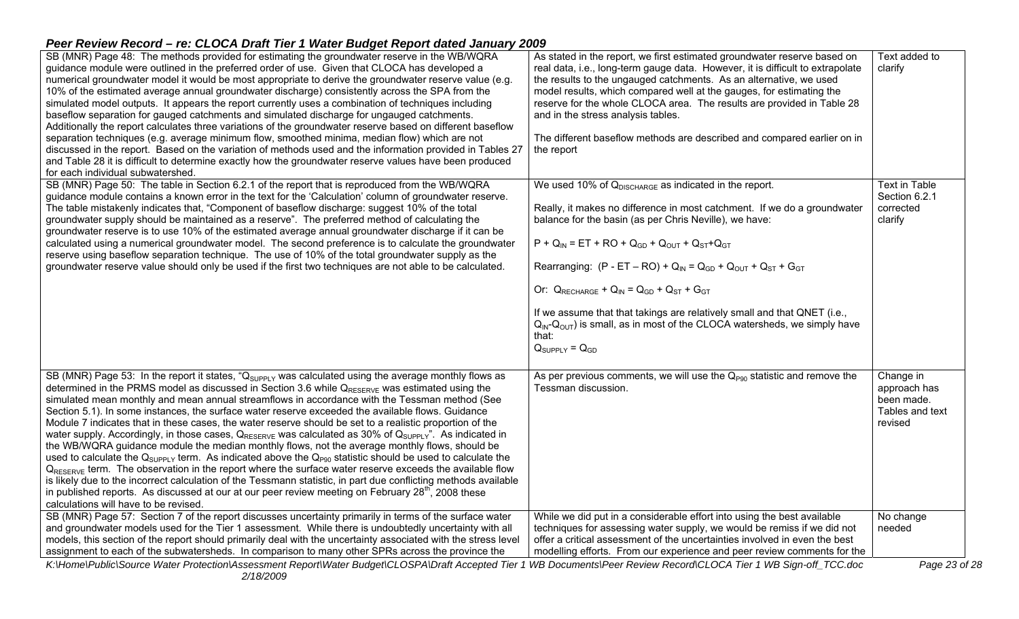| SB (MNR) Page 48: The methods provided for estimating the groundwater reserve in the WB/WQRA<br>guidance module were outlined in the preferred order of use. Given that CLOCA has developed a<br>numerical groundwater model it would be most appropriate to derive the groundwater reserve value (e.g.<br>10% of the estimated average annual groundwater discharge) consistently across the SPA from the<br>simulated model outputs. It appears the report currently uses a combination of techniques including<br>baseflow separation for gauged catchments and simulated discharge for ungauged catchments.<br>Additionally the report calculates three variations of the groundwater reserve based on different baseflow<br>separation techniques (e.g. average minimum flow, smoothed minima, median flow) which are not<br>discussed in the report. Based on the variation of methods used and the information provided in Tables 27<br>and Table 28 it is difficult to determine exactly how the groundwater reserve values have been produced<br>for each individual subwatershed.                                                                                                                                                                                  | As stated in the report, we first estimated groundwater reserve based on<br>real data, i.e., long-term gauge data. However, it is difficult to extrapolate<br>the results to the ungauged catchments. As an alternative, we used<br>model results, which compared well at the gauges, for estimating the<br>reserve for the whole CLOCA area. The results are provided in Table 28<br>and in the stress analysis tables.<br>The different baseflow methods are described and compared earlier on in<br>the report                                                                                                                    | Text added to<br>clarify                                              |
|------------------------------------------------------------------------------------------------------------------------------------------------------------------------------------------------------------------------------------------------------------------------------------------------------------------------------------------------------------------------------------------------------------------------------------------------------------------------------------------------------------------------------------------------------------------------------------------------------------------------------------------------------------------------------------------------------------------------------------------------------------------------------------------------------------------------------------------------------------------------------------------------------------------------------------------------------------------------------------------------------------------------------------------------------------------------------------------------------------------------------------------------------------------------------------------------------------------------------------------------------------------------------|--------------------------------------------------------------------------------------------------------------------------------------------------------------------------------------------------------------------------------------------------------------------------------------------------------------------------------------------------------------------------------------------------------------------------------------------------------------------------------------------------------------------------------------------------------------------------------------------------------------------------------------|-----------------------------------------------------------------------|
| SB (MNR) Page 50: The table in Section 6.2.1 of the report that is reproduced from the WB/WQRA<br>guidance module contains a known error in the text for the 'Calculation' column of groundwater reserve.<br>The table mistakenly indicates that, "Component of baseflow discharge: suggest 10% of the total<br>groundwater supply should be maintained as a reserve". The preferred method of calculating the<br>groundwater reserve is to use 10% of the estimated average annual groundwater discharge if it can be<br>calculated using a numerical groundwater model. The second preference is to calculate the groundwater<br>reserve using baseflow separation technique. The use of 10% of the total groundwater supply as the<br>groundwater reserve value should only be used if the first two techniques are not able to be calculated.                                                                                                                                                                                                                                                                                                                                                                                                                            | We used 10% of $Q_{DISCHARGE}$ as indicated in the report.<br>Really, it makes no difference in most catchment. If we do a groundwater<br>balance for the basin (as per Chris Neville), we have:<br>$P + Q_{IN} = ET + RO + Q_{GD} + Q_{OUT} + Q_{ST} + Q_{GT}$<br>Rearranging: $(P - ET - RO) + Q_{IN} = Q_{GD} + Q_{OUT} + Q_{ST} + G_{GT}$<br>Or: $Q_{RECHARGE} + Q_{IN} = Q_{GD} + Q_{ST} + G_{GT}$<br>If we assume that that takings are relatively small and that QNET (i.e.,<br>$Q_{\text{IN}}-Q_{\text{OUT}}$ ) is small, as in most of the CLOCA watersheds, we simply have<br>that:<br>$Q_{\text{SUPPLY}} = Q_{\text{GD}}$ | <b>Text in Table</b><br>Section 6.2.1<br>corrected<br>clarify         |
| SB (MNR) Page 53: In the report it states, "Q <sub>SUPPLY</sub> was calculated using the average monthly flows as<br>determined in the PRMS model as discussed in Section 3.6 while $Q_{RESERVE}$ was estimated using the<br>simulated mean monthly and mean annual streamflows in accordance with the Tessman method (See<br>Section 5.1). In some instances, the surface water reserve exceeded the available flows. Guidance<br>Module 7 indicates that in these cases, the water reserve should be set to a realistic proportion of the<br>water supply. Accordingly, in those cases, $Q_{RESERVE}$ was calculated as 30% of $Q_{SUPPLY}$ . As indicated in<br>the WB/WQRA guidance module the median monthly flows, not the average monthly flows, should be<br>used to calculate the $Q_{SUPPLY}$ term. As indicated above the $Q_{P90}$ statistic should be used to calculate the<br>$Q_{RESERVE}$ term. The observation in the report where the surface water reserve exceeds the available flow<br>is likely due to the incorrect calculation of the Tessmann statistic, in part due conflicting methods available<br>in published reports. As discussed at our at our peer review meeting on February $28th$ , 2008 these<br>calculations will have to be revised. | As per previous comments, we will use the $Q_{P90}$ statistic and remove the<br>Tessman discussion.                                                                                                                                                                                                                                                                                                                                                                                                                                                                                                                                  | Change in<br>approach has<br>been made.<br>Tables and text<br>revised |
| SB (MNR) Page 57: Section 7 of the report discusses uncertainty primarily in terms of the surface water<br>and groundwater models used for the Tier 1 assessment. While there is undoubtedly uncertainty with all<br>models, this section of the report should primarily deal with the uncertainty associated with the stress level<br>assignment to each of the subwatersheds. In comparison to many other SPRs across the province the                                                                                                                                                                                                                                                                                                                                                                                                                                                                                                                                                                                                                                                                                                                                                                                                                                     | While we did put in a considerable effort into using the best available<br>techniques for assessing water supply, we would be remiss if we did not<br>offer a critical assessment of the uncertainties involved in even the best<br>modelling efforts. From our experience and peer review comments for the                                                                                                                                                                                                                                                                                                                          | No change<br>needed                                                   |
| K:\Home\Public\Source Water Protection\Assessment Report\Water Budget\CLOSPA\Draft Accepted Tier 1 WB Documents\Peer Review Record\CLOCA Tier 1 WB Sign-off_TCC.doc<br>2/18/2009                                                                                                                                                                                                                                                                                                                                                                                                                                                                                                                                                                                                                                                                                                                                                                                                                                                                                                                                                                                                                                                                                             |                                                                                                                                                                                                                                                                                                                                                                                                                                                                                                                                                                                                                                      | Page 23 of 28                                                         |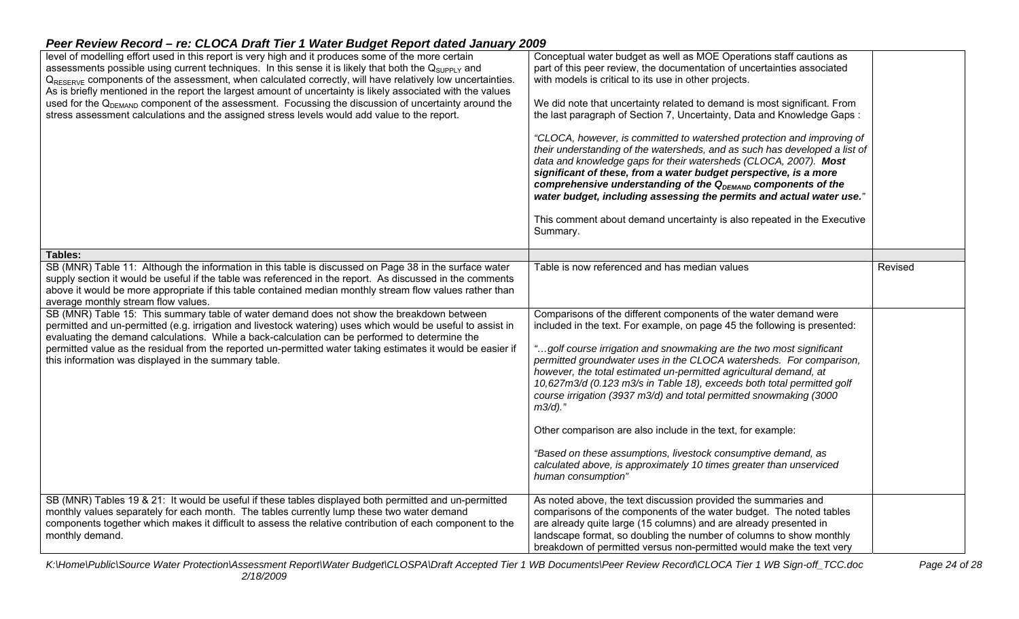| level of modelling effort used in this report is very high and it produces some of the more certain<br>assessments possible using current techniques. In this sense it is likely that both the $Q_{\text{SUPPLY}}$ and<br>Q <sub>RESERVE</sub> components of the assessment, when calculated correctly, will have relatively low uncertainties.<br>As is briefly mentioned in the report the largest amount of uncertainty is likely associated with the values<br>used for the Q <sub>DEMAND</sub> component of the assessment. Focussing the discussion of uncertainty around the<br>stress assessment calculations and the assigned stress levels would add value to the report.                                                                                                                                                                         | Conceptual water budget as well as MOE Operations staff cautions as<br>part of this peer review, the documentation of uncertainties associated<br>with models is critical to its use in other projects.<br>We did note that uncertainty related to demand is most significant. From<br>the last paragraph of Section 7, Uncertainty, Data and Knowledge Gaps:<br>"CLOCA, however, is committed to watershed protection and improving of<br>their understanding of the watersheds, and as such has developed a list of<br>data and knowledge gaps for their watersheds (CLOCA, 2007). Most<br>significant of these, from a water budget perspective, is a more<br>comprehensive understanding of the Q <sub>DEMAND</sub> components of the<br>water budget, including assessing the permits and actual water use."<br>This comment about demand uncertainty is also repeated in the Executive<br>Summary. |         |
|-------------------------------------------------------------------------------------------------------------------------------------------------------------------------------------------------------------------------------------------------------------------------------------------------------------------------------------------------------------------------------------------------------------------------------------------------------------------------------------------------------------------------------------------------------------------------------------------------------------------------------------------------------------------------------------------------------------------------------------------------------------------------------------------------------------------------------------------------------------|----------------------------------------------------------------------------------------------------------------------------------------------------------------------------------------------------------------------------------------------------------------------------------------------------------------------------------------------------------------------------------------------------------------------------------------------------------------------------------------------------------------------------------------------------------------------------------------------------------------------------------------------------------------------------------------------------------------------------------------------------------------------------------------------------------------------------------------------------------------------------------------------------------|---------|
| Tables:                                                                                                                                                                                                                                                                                                                                                                                                                                                                                                                                                                                                                                                                                                                                                                                                                                                     |                                                                                                                                                                                                                                                                                                                                                                                                                                                                                                                                                                                                                                                                                                                                                                                                                                                                                                          |         |
| SB (MNR) Table 11: Although the information in this table is discussed on Page 38 in the surface water<br>supply section it would be useful if the table was referenced in the report. As discussed in the comments<br>above it would be more appropriate if this table contained median monthly stream flow values rather than<br>average monthly stream flow values.<br>SB (MNR) Table 15: This summary table of water demand does not show the breakdown between<br>permitted and un-permitted (e.g. irrigation and livestock watering) uses which would be useful to assist in<br>evaluating the demand calculations. While a back-calculation can be performed to determine the<br>permitted value as the residual from the reported un-permitted water taking estimates it would be easier if<br>this information was displayed in the summary table. | Table is now referenced and has median values<br>Comparisons of the different components of the water demand were<br>included in the text. For example, on page 45 the following is presented:<br>"golf course irrigation and snowmaking are the two most significant<br>permitted groundwater uses in the CLOCA watersheds. For comparison,<br>however, the total estimated un-permitted agricultural demand, at<br>10,627m3/d (0.123 m3/s in Table 18), exceeds both total permitted golf<br>course irrigation (3937 m3/d) and total permitted snowmaking (3000<br>$m3/d$ )."<br>Other comparison are also include in the text, for example:<br>"Based on these assumptions, livestock consumptive demand, as<br>calculated above, is approximately 10 times greater than unserviced                                                                                                                   | Revised |
|                                                                                                                                                                                                                                                                                                                                                                                                                                                                                                                                                                                                                                                                                                                                                                                                                                                             | human consumption"                                                                                                                                                                                                                                                                                                                                                                                                                                                                                                                                                                                                                                                                                                                                                                                                                                                                                       |         |
| SB (MNR) Tables 19 & 21: It would be useful if these tables displayed both permitted and un-permitted<br>monthly values separately for each month. The tables currently lump these two water demand<br>components together which makes it difficult to assess the relative contribution of each component to the<br>monthly demand.                                                                                                                                                                                                                                                                                                                                                                                                                                                                                                                         | As noted above, the text discussion provided the summaries and<br>comparisons of the components of the water budget. The noted tables<br>are already quite large (15 columns) and are already presented in<br>landscape format, so doubling the number of columns to show monthly<br>breakdown of permitted versus non-permitted would make the text very                                                                                                                                                                                                                                                                                                                                                                                                                                                                                                                                                |         |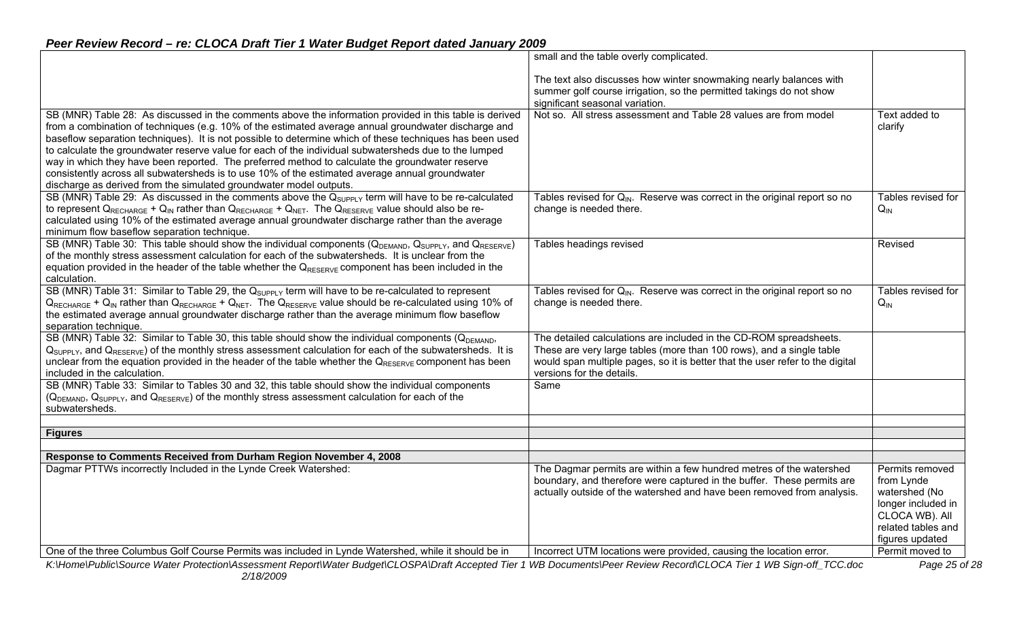|                                                                                                                                                                     | small and the table overly complicated.                                               |                    |
|---------------------------------------------------------------------------------------------------------------------------------------------------------------------|---------------------------------------------------------------------------------------|--------------------|
|                                                                                                                                                                     | The text also discusses how winter snowmaking nearly balances with                    |                    |
|                                                                                                                                                                     | summer golf course irrigation, so the permitted takings do not show                   |                    |
|                                                                                                                                                                     | significant seasonal variation.                                                       |                    |
| SB (MNR) Table 28: As discussed in the comments above the information provided in this table is derived                                                             | Not so. All stress assessment and Table 28 values are from model                      | Text added to      |
|                                                                                                                                                                     |                                                                                       |                    |
| from a combination of techniques (e.g. 10% of the estimated average annual groundwater discharge and                                                                |                                                                                       | clarify            |
| baseflow separation techniques). It is not possible to determine which of these techniques has been used                                                            |                                                                                       |                    |
| to calculate the groundwater reserve value for each of the individual subwatersheds due to the lumped                                                               |                                                                                       |                    |
| way in which they have been reported. The preferred method to calculate the groundwater reserve                                                                     |                                                                                       |                    |
| consistently across all subwatersheds is to use 10% of the estimated average annual groundwater                                                                     |                                                                                       |                    |
| discharge as derived from the simulated groundwater model outputs.                                                                                                  |                                                                                       |                    |
| SB (MNR) Table 29: As discussed in the comments above the $Q_{\text{SUPPLY}}$ term will have to be re-calculated                                                    | Tables revised for $Q_{\text{IN}}$ . Reserve was correct in the original report so no | Tables revised for |
| to represent $Q_{RECHARGE} + Q_{IN}$ rather than $Q_{RECHARGE} + Q_{NET}$ . The $Q_{RESERVE}$ value should also be re-                                              | change is needed there.                                                               | $Q_{IN}$           |
| calculated using 10% of the estimated average annual groundwater discharge rather than the average                                                                  |                                                                                       |                    |
| minimum flow baseflow separation technique.                                                                                                                         |                                                                                       |                    |
| SB (MNR) Table 30: This table should show the individual components ( $Q_{DEMAND}$ , $Q_{SUPPLY}$ , and $Q_{RESERVE}$ )                                             | Tables headings revised                                                               | Revised            |
| of the monthly stress assessment calculation for each of the subwatersheds. It is unclear from the                                                                  |                                                                                       |                    |
| equation provided in the header of the table whether the $Q_{RESEIVE}$ component has been included in the                                                           |                                                                                       |                    |
| calculation.                                                                                                                                                        |                                                                                       |                    |
| SB (MNR) Table 31: Similar to Table 29, the $Q_{SUPPIY}$ term will have to be re-calculated to represent                                                            | Tables revised for $Q_{\text{IN}}$ . Reserve was correct in the original report so no | Tables revised for |
| $Q_{RECHARGE}$ + $Q_{IN}$ rather than $Q_{RECHARGE}$ + $Q_{NET}$ . The $Q_{RESERVE}$ value should be re-calculated using 10% of                                     | change is needed there.                                                               | $Q_{\text{IN}}$    |
| the estimated average annual groundwater discharge rather than the average minimum flow baseflow                                                                    |                                                                                       |                    |
| separation technique.                                                                                                                                               |                                                                                       |                    |
| SB (MNR) Table 32: Similar to Table 30, this table should show the individual components (QDEMAND,                                                                  | The detailed calculations are included in the CD-ROM spreadsheets.                    |                    |
| $Q_{SUPPLY}$ , and $Q_{RESERVE}$ of the monthly stress assessment calculation for each of the subwatersheds. It is                                                  | These are very large tables (more than 100 rows), and a single table                  |                    |
|                                                                                                                                                                     |                                                                                       |                    |
| unclear from the equation provided in the header of the table whether the $Q_{\text{RESERVE}}$ component has been                                                   | would span multiple pages, so it is better that the user refer to the digital         |                    |
| included in the calculation.                                                                                                                                        | versions for the details.                                                             |                    |
| SB (MNR) Table 33: Similar to Tables 30 and 32, this table should show the individual components                                                                    | Same                                                                                  |                    |
| $(Q_{DEMAND}, Q_{SUPPLY},$ and $Q_{RESERVE}$ of the monthly stress assessment calculation for each of the                                                           |                                                                                       |                    |
| subwatersheds.                                                                                                                                                      |                                                                                       |                    |
|                                                                                                                                                                     |                                                                                       |                    |
| <b>Figures</b>                                                                                                                                                      |                                                                                       |                    |
| Response to Comments Received from Durham Region November 4, 2008                                                                                                   |                                                                                       |                    |
| Dagmar PTTWs incorrectly Included in the Lynde Creek Watershed:                                                                                                     | The Dagmar permits are within a few hundred metres of the watershed                   | Permits removed    |
|                                                                                                                                                                     | boundary, and therefore were captured in the buffer. These permits are                | from Lynde         |
|                                                                                                                                                                     | actually outside of the watershed and have been removed from analysis.                | watershed (No      |
|                                                                                                                                                                     |                                                                                       | longer included in |
|                                                                                                                                                                     |                                                                                       | CLOCA WB). All     |
|                                                                                                                                                                     |                                                                                       | related tables and |
|                                                                                                                                                                     |                                                                                       |                    |
|                                                                                                                                                                     |                                                                                       | figures updated    |
| One of the three Columbus Golf Course Permits was included in Lynde Watershed, while it should be in                                                                | Incorrect UTM locations were provided, causing the location error.                    | Permit moved to    |
| K:\Home\Public\Source Water Protection\Assessment Report\Water Budget\CLOSPA\Draft Accepted Tier 1 WB Documents\Peer Review Record\CLOCA Tier 1 WB Sign-off_TCC.doc |                                                                                       | Page 25 of 28      |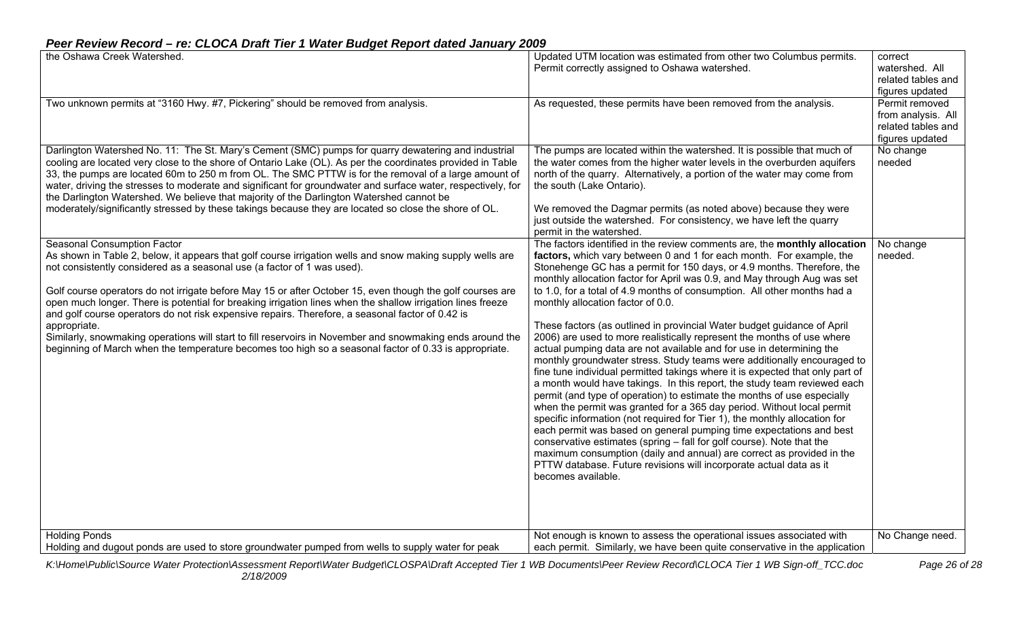| the Oshawa Creek Watershed.                                                                                                                                                                                                                                                                                                                                                                                                                                                                                                                                                                                                                                                                                                                                                                      | Updated UTM location was estimated from other two Columbus permits.<br>Permit correctly assigned to Oshawa watershed.                                                                                                                                                                                                                                                                                                                                                                                                                                                                                                                                                                                                                                                                                                                                                                                                                                                                                                                                                                                                                                                                                                                                                                                                                                                                                                                                 | correct<br>watershed. All<br>related tables and<br>figures updated            |
|--------------------------------------------------------------------------------------------------------------------------------------------------------------------------------------------------------------------------------------------------------------------------------------------------------------------------------------------------------------------------------------------------------------------------------------------------------------------------------------------------------------------------------------------------------------------------------------------------------------------------------------------------------------------------------------------------------------------------------------------------------------------------------------------------|-------------------------------------------------------------------------------------------------------------------------------------------------------------------------------------------------------------------------------------------------------------------------------------------------------------------------------------------------------------------------------------------------------------------------------------------------------------------------------------------------------------------------------------------------------------------------------------------------------------------------------------------------------------------------------------------------------------------------------------------------------------------------------------------------------------------------------------------------------------------------------------------------------------------------------------------------------------------------------------------------------------------------------------------------------------------------------------------------------------------------------------------------------------------------------------------------------------------------------------------------------------------------------------------------------------------------------------------------------------------------------------------------------------------------------------------------------|-------------------------------------------------------------------------------|
| Two unknown permits at "3160 Hwy. #7, Pickering" should be removed from analysis.                                                                                                                                                                                                                                                                                                                                                                                                                                                                                                                                                                                                                                                                                                                | As requested, these permits have been removed from the analysis.                                                                                                                                                                                                                                                                                                                                                                                                                                                                                                                                                                                                                                                                                                                                                                                                                                                                                                                                                                                                                                                                                                                                                                                                                                                                                                                                                                                      | Permit removed<br>from analysis. All<br>related tables and<br>figures updated |
| Darlington Watershed No. 11: The St. Mary's Cement (SMC) pumps for quarry dewatering and industrial<br>cooling are located very close to the shore of Ontario Lake (OL). As per the coordinates provided in Table<br>33, the pumps are located 60m to 250 m from OL. The SMC PTTW is for the removal of a large amount of<br>water, driving the stresses to moderate and significant for groundwater and surface water, respectively, for<br>the Darlington Watershed. We believe that majority of the Darlington Watershed cannot be<br>moderately/significantly stressed by these takings because they are located so close the shore of OL.                                                                                                                                                   | The pumps are located within the watershed. It is possible that much of<br>the water comes from the higher water levels in the overburden aquifers<br>north of the quarry. Alternatively, a portion of the water may come from<br>the south (Lake Ontario).<br>We removed the Dagmar permits (as noted above) because they were<br>just outside the watershed. For consistency, we have left the quarry<br>permit in the watershed.                                                                                                                                                                                                                                                                                                                                                                                                                                                                                                                                                                                                                                                                                                                                                                                                                                                                                                                                                                                                                   | No change<br>needed                                                           |
| <b>Seasonal Consumption Factor</b><br>As shown in Table 2, below, it appears that golf course irrigation wells and snow making supply wells are<br>not consistently considered as a seasonal use (a factor of 1 was used).<br>Golf course operators do not irrigate before May 15 or after October 15, even though the golf courses are<br>open much longer. There is potential for breaking irrigation lines when the shallow irrigation lines freeze<br>and golf course operators do not risk expensive repairs. Therefore, a seasonal factor of 0.42 is<br>appropriate.<br>Similarly, snowmaking operations will start to fill reservoirs in November and snowmaking ends around the<br>beginning of March when the temperature becomes too high so a seasonal factor of 0.33 is appropriate. | The factors identified in the review comments are, the monthly allocation<br>factors, which vary between 0 and 1 for each month. For example, the<br>Stonehenge GC has a permit for 150 days, or 4.9 months. Therefore, the<br>monthly allocation factor for April was 0.9, and May through Aug was set<br>to 1.0, for a total of 4.9 months of consumption. All other months had a<br>monthly allocation factor of 0.0.<br>These factors (as outlined in provincial Water budget guidance of April<br>2006) are used to more realistically represent the months of use where<br>actual pumping data are not available and for use in determining the<br>monthly groundwater stress. Study teams were additionally encouraged to<br>fine tune individual permitted takings where it is expected that only part of<br>a month would have takings. In this report, the study team reviewed each<br>permit (and type of operation) to estimate the months of use especially<br>when the permit was granted for a 365 day period. Without local permit<br>specific information (not required for Tier 1), the monthly allocation for<br>each permit was based on general pumping time expectations and best<br>conservative estimates (spring - fall for golf course). Note that the<br>maximum consumption (daily and annual) are correct as provided in the<br>PTTW database. Future revisions will incorporate actual data as it<br>becomes available. | No change<br>needed.                                                          |
| <b>Holding Ponds</b><br>Holding and dugout ponds are used to store groundwater pumped from wells to supply water for peak                                                                                                                                                                                                                                                                                                                                                                                                                                                                                                                                                                                                                                                                        | Not enough is known to assess the operational issues associated with<br>each permit. Similarly, we have been quite conservative in the application                                                                                                                                                                                                                                                                                                                                                                                                                                                                                                                                                                                                                                                                                                                                                                                                                                                                                                                                                                                                                                                                                                                                                                                                                                                                                                    | No Change need.                                                               |